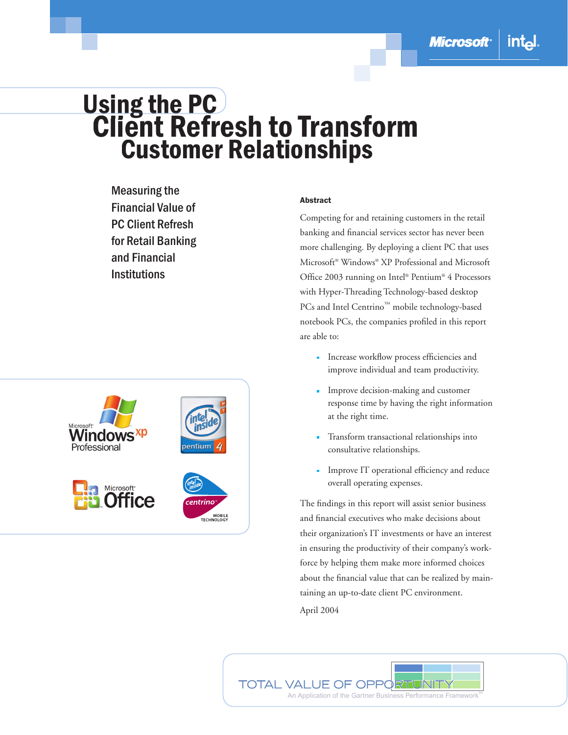# Using the PC Client Refresh to Transform Customer Relationships

Measuring the Financial Value of PC Client Refresh for Retail Banking and Financial **Institutions** 



#### Abstract

Competing for and retaining customers in the retail banking and financial services sector has never been more challenging. By deploying a client PC that uses Microsoft® Windows® XP Professional and Microsoft Office 2003 running on Intel® Pentium® 4 Processors with Hyper-Threading Technology-based desktop PCs and Intel Centrino™ mobile technology-based notebook PCs, the companies profiled in this report are able to:

- $\blacksquare$  Increase workflow process efficiencies and improve individual and team productivity.
- **Improve decision-making and customer** response time by having the right information at the right time.
- $\mathbf{u}^{\prime}$ Transform transactional relationships into consultative relationships.
- $\blacksquare$  Improve IT operational efficiency and reduce overall operating expenses.

The findings in this report will assist senior business and financial executives who make decisions about their organization's IT investments or have an interest in ensuring the productivity of their company's workforce by helping them make more informed choices about the financial value that can be realized by maintaining an up-to-date client PC environment. April 2004

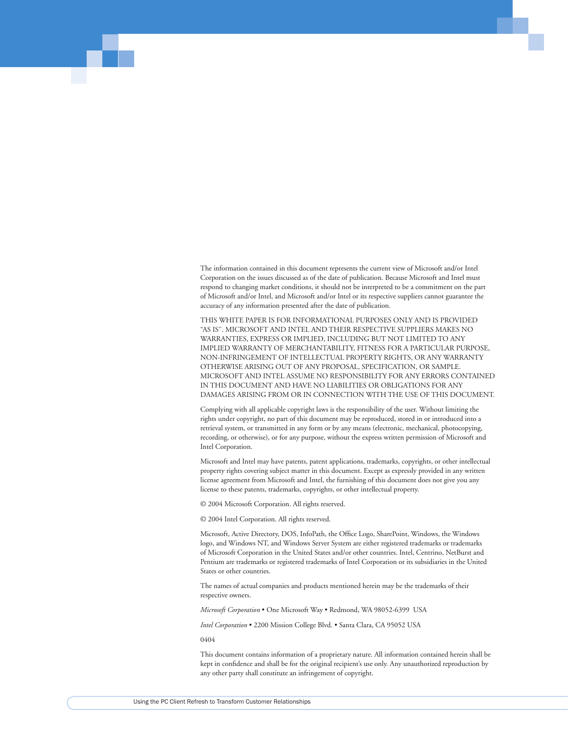The information contained in this document represents the current view of Microsoft and/or Intel Corporation on the issues discussed as of the date of publication. Because Microsoft and Intel must respond to changing market conditions, it should not be interpreted to be a commitment on the part of Microsoft and/or Intel, and Microsoft and/or Intel or its respective suppliers cannot guarantee the accuracy of any information presented after the date of publication.

THIS WHITE PAPER IS FOR INFORMATIONAL PURPOSES ONLY AND IS PROVIDED "AS IS". MICROSOFT AND INTEL AND THEIR RESPECTIVE SUPPLIERS MAKES NO WARRANTIES, EXPRESS OR IMPLIED, INCLUDING BUT NOT LIMITED TO ANY IMPLIED WARRANTY OF MERCHANTABILITY, FITNESS FOR A PARTICULAR PURPOSE, NON-INFRINGEMENT OF INTELLECTUAL PROPERTY RIGHTS, OR ANY WARRANTY OTHERWISE ARISING OUT OF ANY PROPOSAL, SPECIFICATION, OR SAMPLE. MICROSOFT AND INTEL ASSUME NO RESPONSIBILITY FOR ANY ERRORS CONTAINED IN THIS DOCUMENT AND HAVE NO LIABILITIES OR OBLIGATIONS FOR ANY DAMAGES ARISING FROM OR IN CONNECTION WITH THE USE OF THIS DOCUMENT.

Complying with all applicable copyright laws is the responsibility of the user. Without limiting the rights under copyright, no part of this document may be reproduced, stored in or introduced into a retrieval system, or transmitted in any form or by any means (electronic, mechanical, photocopying, recording, or otherwise), or for any purpose, without the express written permission of Microsoft and Intel Corporation.

Microsoft and Intel may have patents, patent applications, trademarks, copyrights, or other intellectual property rights covering subject matter in this document. Except as expressly provided in any written license agreement from Microsoft and Intel, the furnishing of this document does not give you any license to these patents, trademarks, copyrights, or other intellectual property.

© 2004 Microsoft Corporation. All rights reserved.

© 2004 Intel Corporation. All rights reserved.

Microsoft, Active Directory, DOS, InfoPath, the Office Logo, SharePoint, Windows, the Windows logo, and Windows NT, and Windows Server System are either registered trademarks or trademarks of Microsoft Corporation in the United States and/or other countries. Intel, Centrino, NetBurst and Pentium are trademarks or registered trademarks of Intel Corporation or its subsidiaries in the United States or other countries.

The names of actual companies and products mentioned herein may be the trademarks of their respective owners.

*Microsoft Corporation* • One Microsoft Way • Redmond, WA 98052-6399 USA

*Intel Corporation* • 2200 Mission College Blvd. • Santa Clara, CA 95052 USA

0404

This document contains information of a proprietary nature. All information contained herein shall be kept in confidence and shall be for the original recipient's use only. Any unauthorized reproduction by any other party shall constitute an infringement of copyright.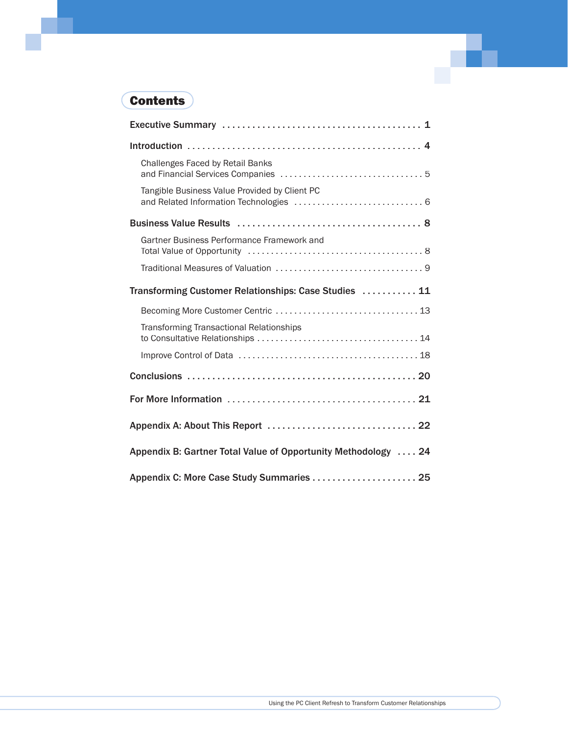### **Contents**

| Challenges Faced by Retail Banks                               |
|----------------------------------------------------------------|
| Tangible Business Value Provided by Client PC                  |
|                                                                |
| Gartner Business Performance Framework and                     |
|                                                                |
| Transforming Customer Relationships: Case Studies  11          |
|                                                                |
| <b>Transforming Transactional Relationships</b>                |
|                                                                |
|                                                                |
|                                                                |
|                                                                |
| Appendix B: Gartner Total Value of Opportunity Methodology  24 |
| Appendix C: More Case Study Summaries  25                      |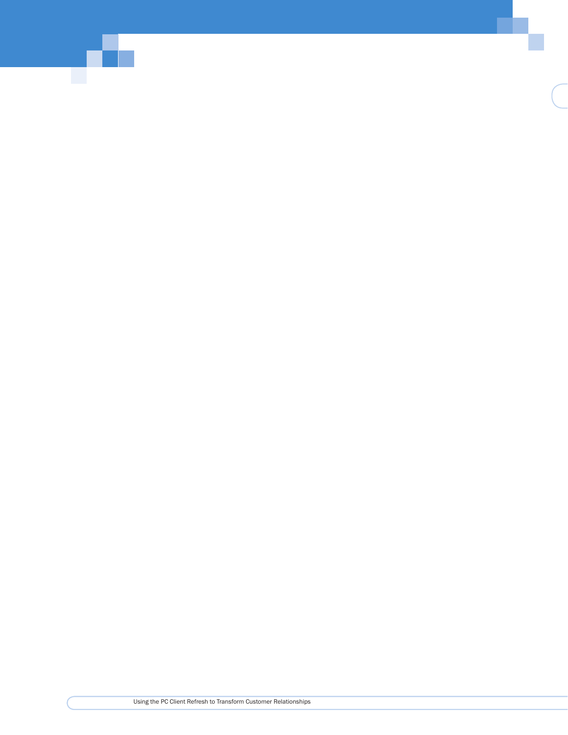

Using the PC Client Refresh to Transform Customer Relationships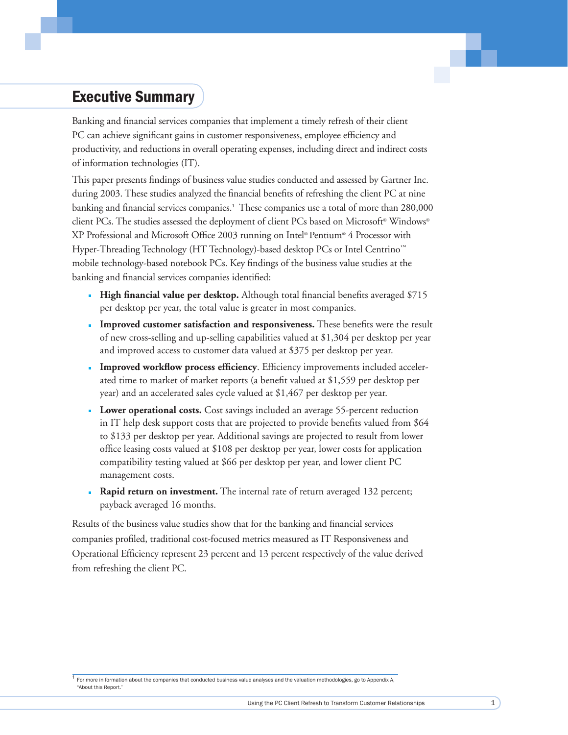### Executive Summary

Banking and financial services companies that implement a timely refresh of their client PC can achieve significant gains in customer responsiveness, employee efficiency and productivity, and reductions in overall operating expenses, including direct and indirect costs of information technologies (IT).

This paper presents findings of business value studies conducted and assessed by Gartner Inc. during 2003. These studies analyzed the financial benefits of refreshing the client PC at nine banking and financial services companies.<sup>1</sup> These companies use a total of more than 280,000 client PCs. The studies assessed the deployment of client PCs based on Microsoft® Windows® XP Professional and Microsoft Office 2003 running on Intel® Pentium® 4 Processor with Hyper-Threading Technology (HT Technology)-based desktop PCs or Intel Centrino<sup>™</sup> mobile technology-based notebook PCs. Key findings of the business value studies at the banking and financial services companies identified:

- **High financial value per desktop.** Although total financial benefits averaged \$715 per desktop per year, the total value is greater in most companies.
- **Improved customer satisfaction and responsiveness.** These benefits were the result of new cross-selling and up-selling capabilities valued at \$1,304 per desktop per year and improved access to customer data valued at \$375 per desktop per year.
- **Improved workflow process efficiency**. Efficiency improvements included accelerated time to market of market reports (a benefit valued at \$1,559 per desktop per year) and an accelerated sales cycle valued at \$1,467 per desktop per year.
- **Lower operational costs.** Cost savings included an average 55-percent reduction in IT help desk support costs that are projected to provide benefits valued from \$64 to \$133 per desktop per year. Additional savings are projected to result from lower office leasing costs valued at \$108 per desktop per year, lower costs for application compatibility testing valued at \$66 per desktop per year, and lower client PC management costs.
- **Rapid return on investment.** The internal rate of return averaged 132 percent; payback averaged 16 months.

Results of the business value studies show that for the banking and financial services companies profiled, traditional cost-focused metrics measured as IT Responsiveness and Operational Efficiency represent 23 percent and 13 percent respectively of the value derived from refreshing the client PC.

 $^1$  For more in formation about the companies that conducted business value analyses and the valuation methodologies, go to Appendix A, "About this Report."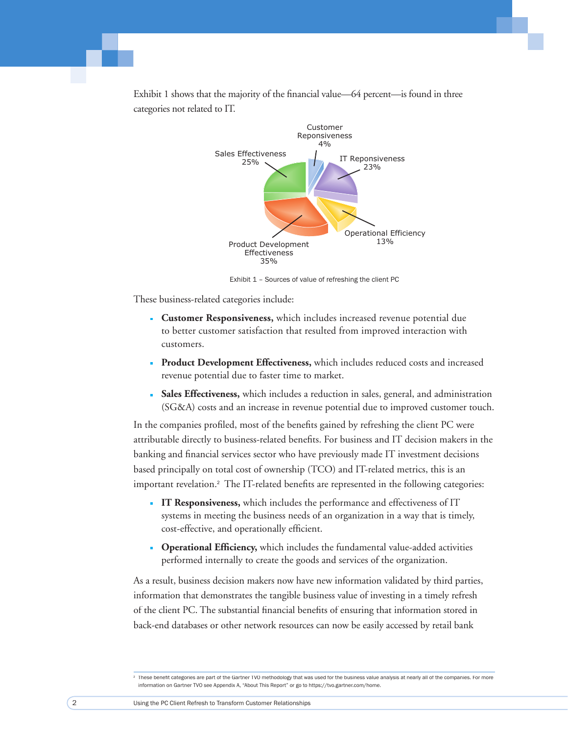Exhibit 1 shows that the majority of the financial value—64 percent—is found in three categories not related to IT.



Exhibit 1 - Sources of value of refreshing the client PC

These business-related categories include:

- Customer Responsiveness, which includes increased revenue potential due to better customer satisfaction that resulted from improved interaction with customers.
- Product Development Effectiveness, which includes reduced costs and increased revenue potential due to faster time to market.
- Sales Effectiveness, which includes a reduction in sales, general, and administration (SG&A) costs and an increase in revenue potential due to improved customer touch.

In the companies profiled, most of the benefits gained by refreshing the client PC were attributable directly to business-related benefits. For business and IT decision makers in the banking and financial services sector who have previously made IT investment decisions based principally on total cost of ownership (TCO) and IT-related metrics, this is an important revelation.<sup>2</sup> The IT-related benefits are represented in the following categories:

- IT Responsiveness, which includes the performance and effectiveness of IT systems in meeting the business needs of an organization in a way that is timely, cost-effective, and operationally efficient.
- Operational Efficiency, which includes the fundamental value-added activities performed internally to create the goods and services of the organization.

As a result, business decision makers now have new information validated by third parties, information that demonstrates the tangible business value of investing in a timely refresh of the client PC. The substantial financial benefits of ensuring that information stored in back-end databases or other network resources can now be easily accessed by retail bank

Using the PC Client Refresh to Transform Customer Relationships

<sup>&</sup>lt;sup>2</sup> These benefit categories are part of the Gartner TVO methodology that was used for the business value analysis at nearly all of the companies. For more information on Gartner TVO see Appendix A, "About This Report" or go to https://tvo.gartner.com/home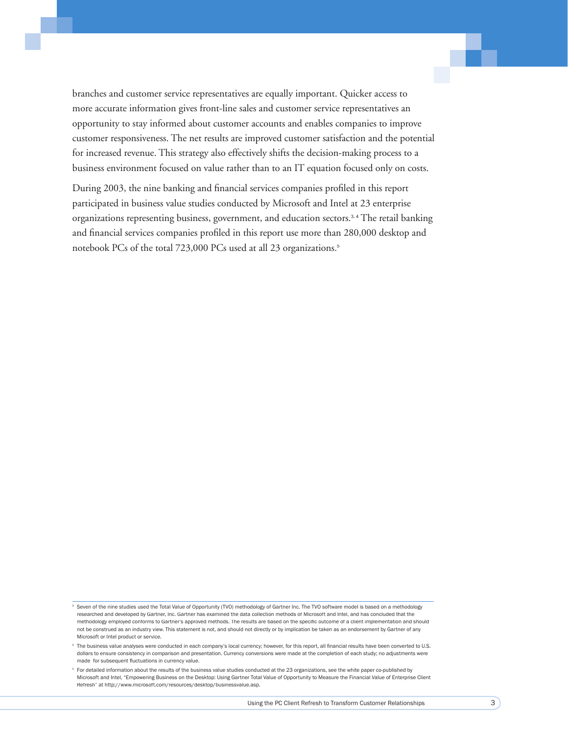branches and customer service representatives are equally important. Quicker access to more accurate information gives front-line sales and customer service representatives an opportunity to stay informed about customer accounts and enables companies to improve customer responsiveness. The net results are improved customer satisfaction and the potential for increased revenue. This strategy also effectively shifts the decision-making process to a business environment focused on value rather than to an IT equation focused only on costs.

During 2003, the nine banking and financial services companies profiled in this report participated in business value studies conducted by Microsoft and Intel at 23 enterprise organizations representing business, government, and education sectors.<sup>3,4</sup> The retail banking and financial services companies profiled in this report use more than 280,000 desktop and notebook PCs of the total 723,000 PCs used at all 23 organizations.<sup>5</sup>

<sup>&</sup>lt;sup>3</sup> Seven of the nine studies used the Total Value of Opportunity (TVO) methodology of Gartner Inc. The TVO software model is based on a methodology researched and developed by Gartner, Inc. Gartner has examined the data collection methods of Microsoft and Intel, and has concluded that the methodology employed conforms to Gartner's approved methods. The results are based on the specific outcome of a client implementation and should not be construed as an industry view. This statement is not, and should not directly or by implication be taken as an endorsement by Gartner of any Microsoft or Intel product or service.

<sup>&</sup>lt;sup>4</sup> The business value analyses were conducted in each company's local currency; however, for this report, all financial results have been converted to U.S. dollars to ensure consistency in comparison and presentation. Currency conversions were made at the completion of each study; no adjustments were made for subsequent fluctuations in currency value.

<sup>5</sup> For detailed information about the results of the business value studies conducted at the 23 organizations, see the white paper co-published by Microsoft and Intel, "Empowering Business on the Desktop: Using Gartner Total Value of Opportunity to Measure the Financial Value of Enterprise Client Refresh" at http://www.microsoft.com/resources/desktop/businessvalue.asp.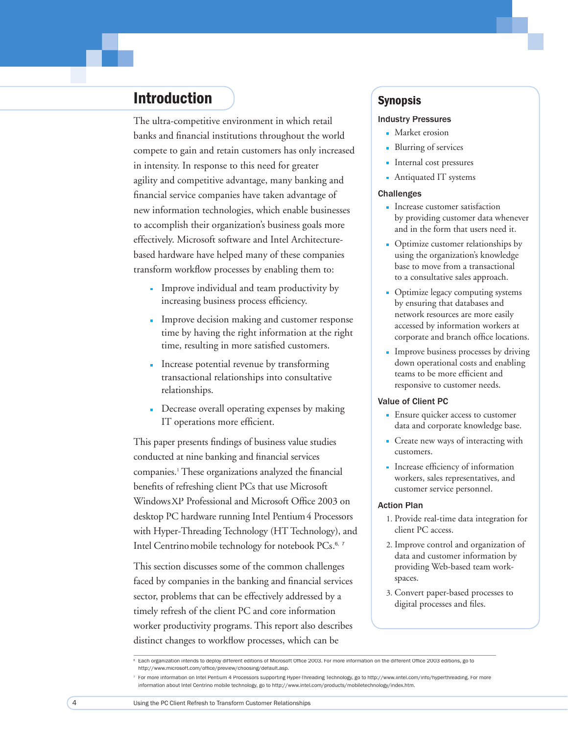### Introduction

The ultra-competitive environment in which retail banks and financial institutions throughout the world compete to gain and retain customers has only increased in intensity. In response to this need for greater agility and competitive advantage, many banking and financial service companies have taken advantage of new information technologies, which enable businesses to accomplish their organization's business goals more effectively. Microsoft software and Intel Architecturebased hardware have helped many of these companies transform workflow processes by enabling them to:

- **Improve individual and team productivity by** increasing business process efficiency.
- **Improve decision making and customer response** time by having the right information at the right time, resulting in more satisfied customers.
- Increase potential revenue by transforming transactional relationships into consultative relationships.
- Decrease overall operating expenses by making IT operations more efficient.

This paper presents findings of business value studies conducted at nine banking and financial services companies.<sup>1</sup> These organizations analyzed the financial benefits of refreshing client PCs that use Microsoft Windows XP Professional and Microsoft Office 2003 on desktop PC hardware running Intel Pentium 4 Processors with Hyper-Threading Technology (HT Technology), and Intel Centrino mobile technology for notebook PCs.<sup>6, 7</sup>

This section discusses some of the common challenges faced by companies in the banking and financial services sector, problems that can be effectively addressed by a timely refresh of the client PC and core information worker productivity programs. This report also describes distinct changes to workflow processes, which can be

### Synopsis

#### Industry Pressures

- **Market** erosion
- **Blurring of services**
- **Internal cost pressures**
- Antiquated IT systems

#### **Challenges**

- **Increase customer satisfaction** by providing customer data whenever and in the form that users need it.
- Optimize customer relationships by using the organization's knowledge base to move from a transactional to a consultative sales approach.
- Optimize legacy computing systems by ensuring that databases and network resources are more easily accessed by information workers at corporate and branch office locations.
- **Improve business processes by driving** down operational costs and enabling teams to be more efficient and responsive to customer needs.

#### Value of Client PC

- **Ensure quicker access to customer** data and corporate knowledge base.
- Create new ways of interacting with customers.
- Increase efficiency of information workers, sales representatives, and customer service personnel.

#### Action Plan

- 1. Provide real-time data integration for client PC access.
- 2. Improve control and organization of data and customer information by providing Web-based team workspaces.
- 3. Convert paper-based processes to digital processes and files.

<sup>&</sup>lt;sup>6</sup> Each organization intends to deploy different editions of Microsoft Office 2003. For more information on the different Office 2003 editions, go to http://www.microsoft.com/office/preview/choosing/default.asp.

<sup>7</sup> For more information on Intel Pentium 4 Processors supporting Hyper-Threading Technology, go to http://www.iintel.com/info/hyperthreading. For more information about Intel Centrino mobile technology, go to http://www.intel.com/products/mobiletechnology/index.htm.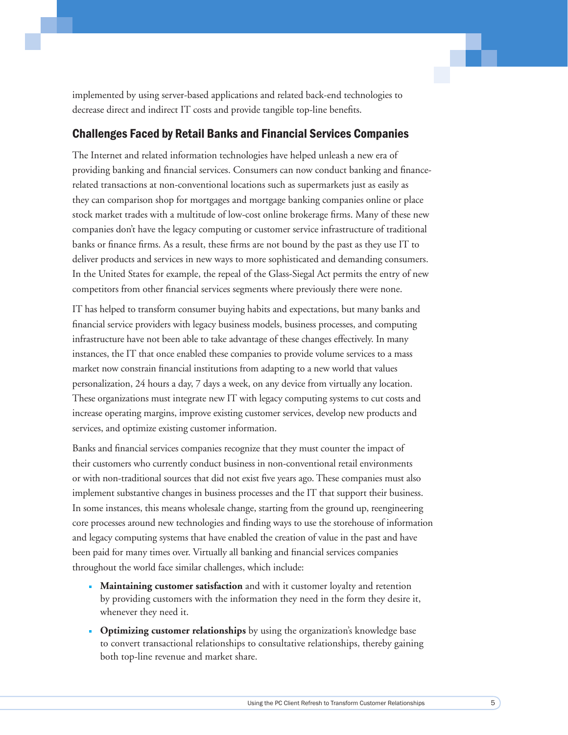implemented by using server-based applications and related back-end technologies to decrease direct and indirect IT costs and provide tangible top-line benefits.

### Challenges Faced by Retail Banks and Financial Services Companies

The Internet and related information technologies have helped unleash a new era of providing banking and financial services. Consumers can now conduct banking and financerelated transactions at non-conventional locations such as supermarkets just as easily as they can comparison shop for mortgages and mortgage banking companies online or place stock market trades with a multitude of low-cost online brokerage firms. Many of these new companies don't have the legacy computing or customer service infrastructure of traditional banks or finance firms. As a result, these firms are not bound by the past as they use IT to deliver products and services in new ways to more sophisticated and demanding consumers. In the United States for example, the repeal of the Glass-Siegal Act permits the entry of new competitors from other financial services segments where previously there were none.

IT has helped to transform consumer buying habits and expectations, but many banks and financial service providers with legacy business models, business processes, and computing infrastructure have not been able to take advantage of these changes effectively. In many instances, the IT that once enabled these companies to provide volume services to a mass market now constrain financial institutions from adapting to a new world that values personalization, 24 hours a day, 7 days a week, on any device from virtually any location. These organizations must integrate new IT with legacy computing systems to cut costs and increase operating margins, improve existing customer services, develop new products and services, and optimize existing customer information.

Banks and financial services companies recognize that they must counter the impact of their customers who currently conduct business in non-conventional retail environments or with non-traditional sources that did not exist five years ago. These companies must also implement substantive changes in business processes and the IT that support their business. In some instances, this means wholesale change, starting from the ground up, reengineering core processes around new technologies and finding ways to use the storehouse of information and legacy computing systems that have enabled the creation of value in the past and have been paid for many times over. Virtually all banking and financial services companies throughout the world face similar challenges, which include:

- **Maintaining customer satisfaction** and with it customer loyalty and retention by providing customers with the information they need in the form they desire it, whenever they need it.
- **Optimizing customer relationships** by using the organization's knowledge base to convert transactional relationships to consultative relationships, thereby gaining both top-line revenue and market share.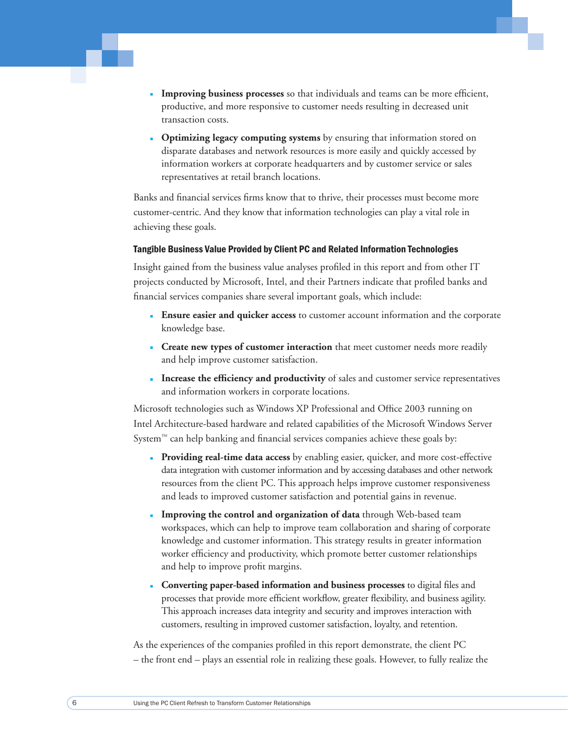- **Improving business processes** so that individuals and teams can be more efficient, productive, and more responsive to customer needs resulting in decreased unit transaction costs.
- **Optimizing legacy computing systems** by ensuring that information stored on disparate databases and network resources is more easily and quickly accessed by information workers at corporate headquarters and by customer service or sales representatives at retail branch locations.

Banks and financial services firms know that to thrive, their processes must become more customer-centric. And they know that information technologies can play a vital role in achieving these goals.

#### Tangible Business Value Provided by Client PC and Related Information Technologies

Insight gained from the business value analyses profiled in this report and from other IT projects conducted by Microsoft, Intel, and their Partners indicate that profiled banks and financial services companies share several important goals, which include:

- **Ensure easier and quicker access** to customer account information and the corporate knowledge base.
- **Create new types of customer interaction** that meet customer needs more readily and help improve customer satisfaction.
- **Increase the efficiency and productivity** of sales and customer service representatives and information workers in corporate locations.

Microsoft technologies such as Windows XP Professional and Office 2003 running on Intel Architecture-based hardware and related capabilities of the Microsoft Windows Server System<sup>™</sup> can help banking and financial services companies achieve these goals by:

- **Providing real-time data access** by enabling easier, quicker, and more cost-effective data integration with customer information and by accessing databases and other network resources from the client PC. This approach helps improve customer responsiveness and leads to improved customer satisfaction and potential gains in revenue.
- **Improving the control and organization of data** through Web-based team workspaces, which can help to improve team collaboration and sharing of corporate knowledge and customer information. This strategy results in greater information worker efficiency and productivity, which promote better customer relationships and help to improve profit margins.
- **Converting paper-based information and business processes** to digital files and processes that provide more efficient workflow, greater flexibility, and business agility. This approach increases data integrity and security and improves interaction with customers, resulting in improved customer satisfaction, loyalty, and retention.

As the experiences of the companies profiled in this report demonstrate, the client PC – the front end – plays an essential role in realizing these goals. However, to fully realize the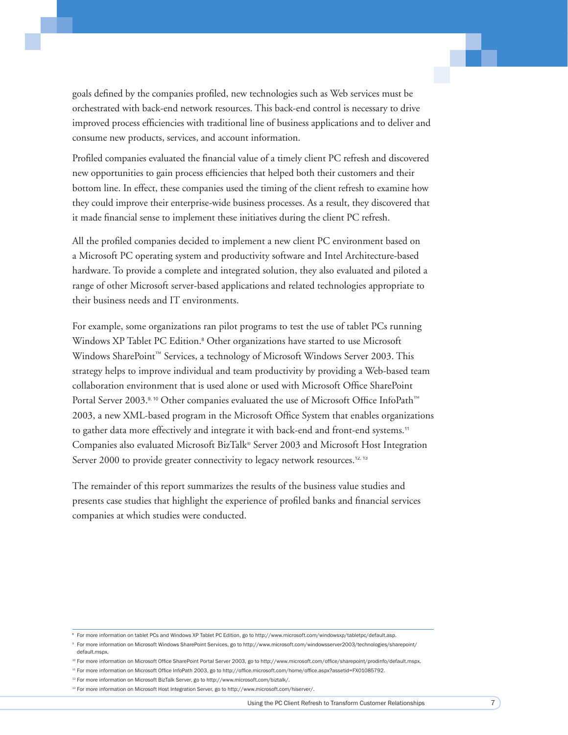goals defined by the companies profiled, new technologies such as Web services must be orchestrated with back-end network resources. This back-end control is necessary to drive improved process efficiencies with traditional line of business applications and to deliver and consume new products, services, and account information.

Profiled companies evaluated the financial value of a timely client PC refresh and discovered new opportunities to gain process efficiencies that helped both their customers and their bottom line. In effect, these companies used the timing of the client refresh to examine how they could improve their enterprise-wide business processes. As a result, they discovered that it made financial sense to implement these initiatives during the client PC refresh.

All the profiled companies decided to implement a new client PC environment based on a Microsoft PC operating system and productivity software and Intel Architecture-based hardware. To provide a complete and integrated solution, they also evaluated and piloted a range of other Microsoft server-based applications and related technologies appropriate to their business needs and IT environments.

For example, some organizations ran pilot programs to test the use of tablet PCs running Windows XP Tablet PC Edition.<sup>8</sup> Other organizations have started to use Microsoft Windows SharePoint<sup>™</sup> Services, a technology of Microsoft Windows Server 2003. This strategy helps to improve individual and team productivity by providing a Web-based team collaboration environment that is used alone or used with Microsoft Office SharePoint Portal Server 2003.<sup>9, 10</sup> Other companies evaluated the use of Microsoft Office InfoPath™ 2003, a new XML-based program in the Microsoft Office System that enables organizations to gather data more effectively and integrate it with back-end and front-end systems.<sup>11</sup> Companies also evaluated Microsoft BizTalk® Server 2003 and Microsoft Host Integration Server 2000 to provide greater connectivity to legacy network resources.<sup>12, 13</sup>

The remainder of this report summarizes the results of the business value studies and presents case studies that highlight the experience of profiled banks and financial services companies at which studies were conducted.

<sup>&</sup>lt;sup>8</sup> For more information on tablet PCs and Windows XP Tablet PC Edition, go to http://www.microsoft.com/windowsxp/tabletpc/default.asp.

<sup>9</sup> For more information on Microsoft Windows SharePoint Services, go to http://www.microsoft.com/windowsserver2003/technologies/sharepoint/ default.mspx.

<sup>10</sup> For more information on Microsoft Office SharePoint Portal Server 2003, go to http://www.microsoft.com/office/sharepoint/prodinfo/default.mspx.

<sup>11</sup> For more information on Microsoft Office InfoPath 2003, go to http://office.microsoft.com/home/office.aspx?assetid=FX01085792.

<sup>12</sup> For more information on Microsoft BizTalk Server, go to http://www.microsoft.com/biztalk/.

<sup>13</sup> For more information on Microsoft Host Integration Server, go to http://www.microsoft.com/hiserver/.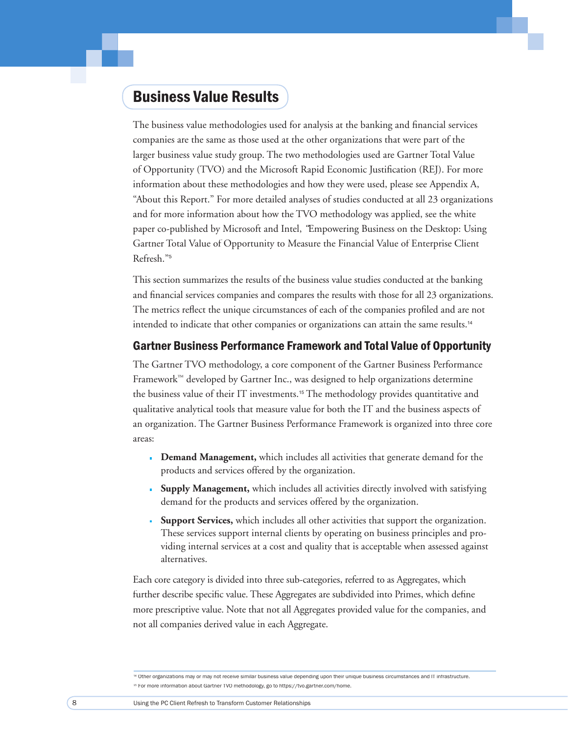### Business Value Results

The business value methodologies used for analysis at the banking and financial services companies are the same as those used at the other organizations that were part of the larger business value study group. The two methodologies used are Gartner Total Value of Opportunity (TVO) and the Microsoft Rapid Economic Justification (REJ). For more information about these methodologies and how they were used, please see Appendix A, "About this Report." For more detailed analyses of studies conducted at all 23 organizations and for more information about how the TVO methodology was applied, see the white paper co-published by Microsoft and Intel, *"*Empowering Business on the Desktop: Using Gartner Total Value of Opportunity to Measure the Financial Value of Enterprise Client Refresh."<sup>5</sup>

This section summarizes the results of the business value studies conducted at the banking and financial services companies and compares the results with those for all 23 organizations. The metrics reflect the unique circumstances of each of the companies profiled and are not intended to indicate that other companies or organizations can attain the same results.<sup>14</sup>

#### Gartner Business Performance Framework and Total Value of Opportunity

The Gartner TVO methodology, a core component of the Gartner Business Performance Framework™ developed by Gartner Inc., was designed to help organizations determine the business value of their IT investments.15 The methodology provides quantitative and qualitative analytical tools that measure value for both the IT and the business aspects of an organization. The Gartner Business Performance Framework is organized into three core areas:

- **Demand Management,** which includes all activities that generate demand for the products and services offered by the organization.
- **Supply Management,** which includes all activities directly involved with satisfying demand for the products and services offered by the organization.
- **Support Services,** which includes all other activities that support the organization. These services support internal clients by operating on business principles and providing internal services at a cost and quality that is acceptable when assessed against alternatives.

Each core category is divided into three sub-categories, referred to as Aggregates, which further describe specific value. These Aggregates are subdivided into Primes, which define more prescriptive value. Note that not all Aggregates provided value for the companies, and not all companies derived value in each Aggregate.

<sup>&</sup>lt;sup>14</sup> Other organizations may or may not receive similar business value depending upon their unique business circumstances and IT infrastructure.

<sup>15</sup> For more information about Gartner TVO methodology, go to https://tvo.gartner.com/home.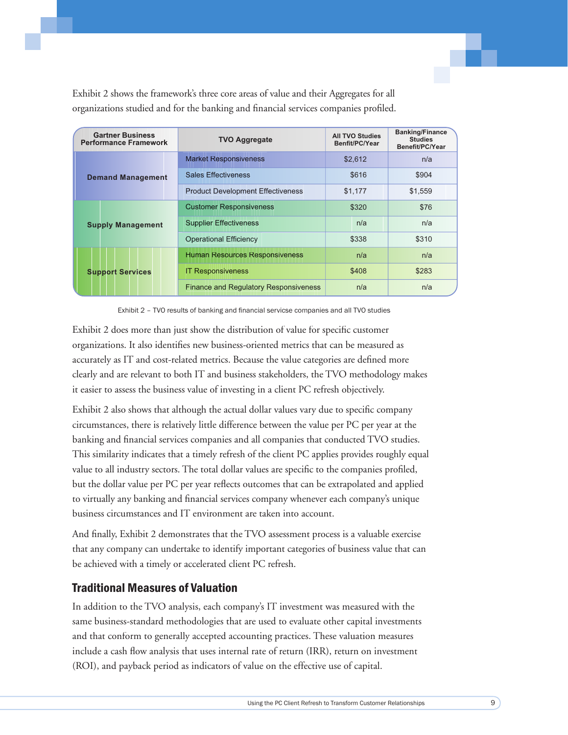| <b>Gartner Business</b><br><b>Performance Framework</b> | <b>TVO Aggregate</b>                         | <b>All TVO Studies</b><br>Benfit/PC/Year | <b>Banking/Finance</b><br><b>Studies</b><br>Benefit/PC/Year |
|---------------------------------------------------------|----------------------------------------------|------------------------------------------|-------------------------------------------------------------|
|                                                         | <b>Market Responsiveness</b>                 | \$2,612                                  | n/a                                                         |
| <b>Demand Management</b>                                | <b>Sales Effectiveness</b>                   | \$616                                    | \$904                                                       |
|                                                         | <b>Product Development Effectiveness</b>     | \$1,177                                  | \$1,559                                                     |
|                                                         | <b>Customer Responsiveness</b>               | \$320                                    | \$76                                                        |
| <b>Supply Management</b>                                | <b>Supplier Effectiveness</b>                | n/a                                      | n/a                                                         |
|                                                         | <b>Operational Efficiency</b>                | \$338                                    | \$310                                                       |
|                                                         | <b>Human Resources Responsiveness</b>        | n/a                                      | n/a                                                         |
| <b>Support Services</b>                                 | <b>IT Responsiveness</b>                     | \$408                                    | \$283                                                       |
|                                                         | <b>Finance and Regulatory Responsiveness</b> | n/a                                      | n/a                                                         |

Exhibit 2 shows the framework's three core areas of value and their Aggregates for all organizations studied and for the banking and financial services companies profiled.

Exhibit 2 - TVO results of banking and financial servicse companies and all TVO studies

Exhibit 2 does more than just show the distribution of value for specific customer organizations. It also identifies new business-oriented metrics that can be measured as accurately as IT and cost-related metrics. Because the value categories are defined more clearly and are relevant to both IT and business stakeholders, the TVO methodology makes it easier to assess the business value of investing in a client PC refresh objectively.

Exhibit 2 also shows that although the actual dollar values vary due to specific company circumstances, there is relatively little difference between the value per PC per year at the banking and financial services companies and all companies that conducted TVO studies. This similarity indicates that a timely refresh of the client PC applies provides roughly equal value to all industry sectors. The total dollar values are specific to the companies profiled, but the dollar value per PC per year reflects outcomes that can be extrapolated and applied to virtually any banking and financial services company whenever each company's unique business circumstances and IT environment are taken into account.

And finally, Exhibit 2 demonstrates that the TVO assessment process is a valuable exercise that any company can undertake to identify important categories of business value that can be achieved with a timely or accelerated client PC refresh.

#### **Traditional Measures of Valuation**

In addition to the TVO analysis, each company's IT investment was measured with the same business-standard methodologies that are used to evaluate other capital investments and that conform to generally accepted accounting practices. These valuation measures include a cash flow analysis that uses internal rate of return (IRR), return on investment (ROI), and payback period as indicators of value on the effective use of capital.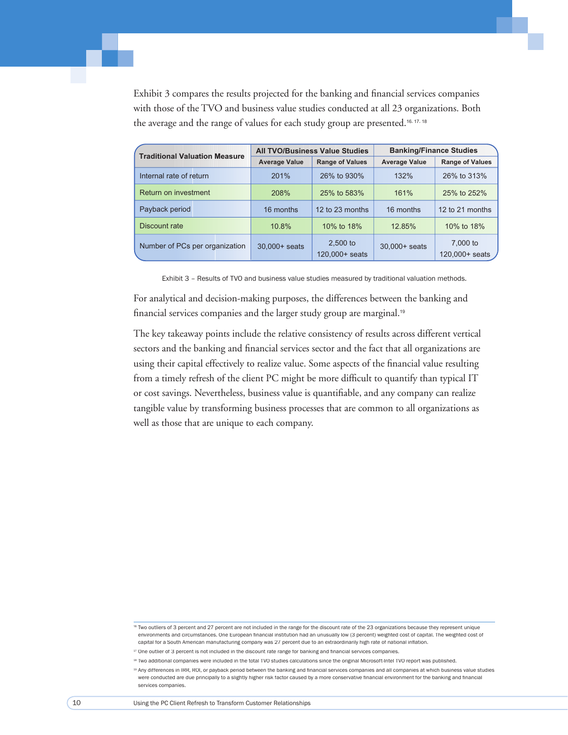Exhibit 3 compares the results projected for the banking and financial services companies with those of the TVO and business value studies conducted at all 23 organizations. Both the average and the range of values for each study group are presented.<sup>16, 17, 18</sup>

| <b>Traditional Valuation Measure</b> |                      | <b>All TVO/Business Value Studies</b> | <b>Banking/Finance Studies</b> |                              |  |
|--------------------------------------|----------------------|---------------------------------------|--------------------------------|------------------------------|--|
|                                      | <b>Average Value</b> | <b>Range of Values</b>                | <b>Average Value</b>           | <b>Range of Values</b>       |  |
| Internal rate of return              | 201%<br>26% to 930%  |                                       | 132%                           | 26% to 313%                  |  |
| Return on investment                 | 208%                 | 25% to 583%                           | 161%                           | 25% to 252%                  |  |
| Payback period                       | 16 months            | 12 to 23 months                       | 16 months                      | 12 to 21 months              |  |
| Discount rate                        | 10.8%                | 10% to 18%<br>12.85%                  |                                | 10% to 18%                   |  |
| Number of PCs per organization       | $30,000+$ seats      | 2,500 to<br>$120.000 + \text{seats}$  | 30,000+ seats                  | 7,000 to<br>$120,000+$ seats |  |

Exhibit 3 - Results of TVO and business value studies measured by traditional valuation methods.

For analytical and decision-making purposes, the differences between the banking and financial services companies and the larger study group are marginal.<sup>19</sup>

The key takeaway points include the relative consistency of results across different vertical sectors and the banking and financial services sector and the fact that all organizations are using their capital effectively to realize value. Some aspects of the financial value resulting from a timely refresh of the client PC might be more difficult to quantify than typical IT or cost savings. Nevertheless, business value is quantifiable, and any company can realize tangible value by transforming business processes that are common to all organizations as well as those that are unique to each company.

<sup>&</sup>lt;sup>16</sup> Two outliers of 3 percent and 27 percent are not included in the range for the discount rate of the 23 organizations because they represent unique environments and circumstances. One European financial institution had an unusually low (3 percent) weighted cost of capital. The weighted cost of capital for a South American manufacturing company was 27 percent due to an extraordinarily high rate of national inflation.

<sup>&</sup>lt;sup>17</sup> One outlier of 3 percent is not included in the discount rate range for banking and financial services companies.

<sup>&</sup>lt;sup>18</sup> Two additional companies were included in the total TVO studies calculations since the original Microsoft-Intel TVO report was published.

<sup>&</sup>lt;sup>9</sup> Any differences in IRR, ROI, or payback period between the banking and financial services companies and all companies at which business value studies were conducted are due principally to a slightly higher risk factor caused by a more conservative financial environment for the banking and financial services companies.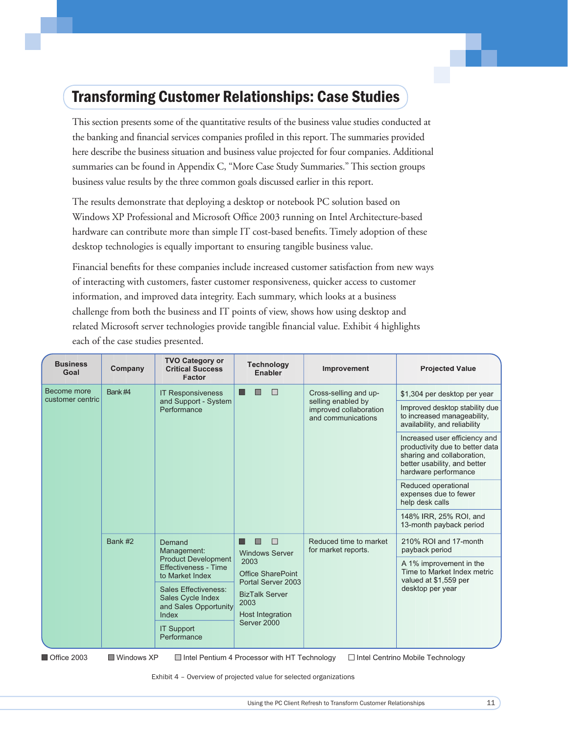### **Transforming Customer Relationships: Case Studies**

This section presents some of the quantitative results of the business value studies conducted at the banking and financial services companies profiled in this report. The summaries provided here describe the business situation and business value projected for four companies. Additional summaries can be found in Appendix C, "More Case Study Summaries." This section groups business value results by the three common goals discussed earlier in this report.

The results demonstrate that deploying a desktop or notebook PC solution based on Windows XP Professional and Microsoft Office 2003 running on Intel Architecture-based hardware can contribute more than simple IT cost-based benefits. Timely adoption of these desktop technologies is equally important to ensuring tangible business value.

Financial benefits for these companies include increased customer satisfaction from new ways of interacting with customers, faster customer responsiveness, quicker access to customer information, and improved data integrity. Each summary, which looks at a business challenge from both the business and IT points of view, shows how using desktop and related Microsoft server technologies provide tangible financial value. Exhibit 4 highlights each of the case studies presented.

| <b>Business</b><br>Goal                               | Company                                                                                                             | <b>TVO Category or</b><br><b>Critical Success</b><br>Factor        |                                                                                         | <b>Technology</b><br>Enabler |                                                                 | Improvement                                                                                 | <b>Projected Value</b>                                                                                                                                 |
|-------------------------------------------------------|---------------------------------------------------------------------------------------------------------------------|--------------------------------------------------------------------|-----------------------------------------------------------------------------------------|------------------------------|-----------------------------------------------------------------|---------------------------------------------------------------------------------------------|--------------------------------------------------------------------------------------------------------------------------------------------------------|
| Become more<br>Bank #4<br>customer centric<br>Bank #2 |                                                                                                                     | <b>IT Responsiveness</b><br>and Support - System<br>Performance    | ▬                                                                                       |                              | П                                                               | Cross-selling and up-<br>selling enabled by<br>improved collaboration<br>and communications | \$1,304 per desktop per year                                                                                                                           |
|                                                       |                                                                                                                     |                                                                    |                                                                                         |                              |                                                                 |                                                                                             | Improved desktop stability due<br>to increased manageability,<br>availability, and reliability                                                         |
|                                                       |                                                                                                                     |                                                                    |                                                                                         |                              |                                                                 |                                                                                             | Increased user efficiency and<br>productivity due to better data<br>sharing and collaboration,<br>better usability, and better<br>hardware performance |
|                                                       |                                                                                                                     |                                                                    |                                                                                         |                              | Reduced operational<br>expenses due to fewer<br>help desk calls |                                                                                             |                                                                                                                                                        |
|                                                       |                                                                                                                     |                                                                    |                                                                                         |                              |                                                                 |                                                                                             | 148% IRR, 25% ROI, and<br>13-month payback period                                                                                                      |
|                                                       | Demand<br>Management:<br><b>Product Development</b><br>to Market Index<br>Index<br><b>IT Support</b><br>Performance | ▬                                                                  | П<br>$\Box$<br><b>Windows Server</b><br>2003<br>Office SharePoint<br>Portal Server 2003 |                              | Reduced time to market<br>for market reports.                   | 210% ROI and 17-month<br>payback period                                                     |                                                                                                                                                        |
|                                                       |                                                                                                                     | <b>Effectiveness - Time</b>                                        |                                                                                         |                              |                                                                 | A 1% improvement in the<br>Time to Market Index metric<br>valued at \$1,559 per             |                                                                                                                                                        |
|                                                       |                                                                                                                     | Sales Effectiveness:<br>Sales Cycle Index<br>and Sales Opportunity | <b>BizTalk Server</b><br>2003<br>Host Integration<br>Server 2000                        |                              |                                                                 | desktop per year                                                                            |                                                                                                                                                        |
|                                                       |                                                                                                                     |                                                                    |                                                                                         |                              |                                                                 |                                                                                             |                                                                                                                                                        |

Office 2003

Windows XP Intel Pentium 4 Processor with HT Technology □ Intel Centrino Mobile Technology

Exhibit 4 - Overview of projected value for selected organizations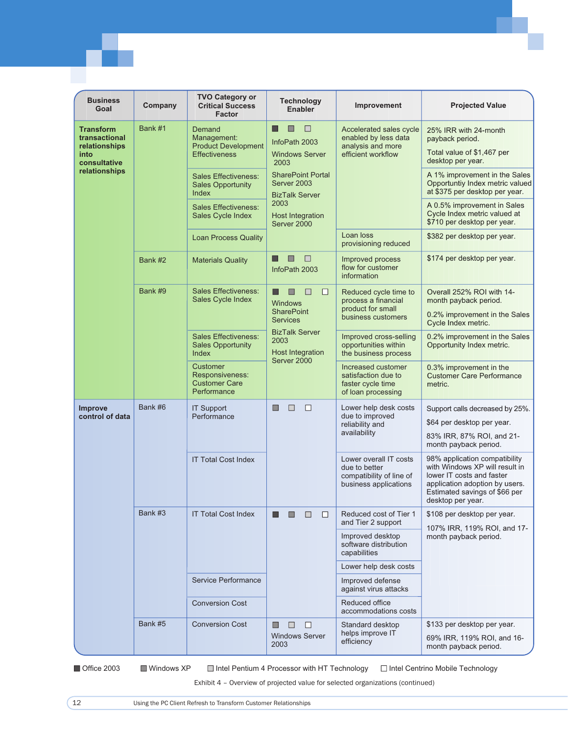

| <b>Business</b><br>Goal                                                                     | Company                                                                                       | <b>TVO Category or</b><br><b>Critical Success</b><br>Factor        | <b>Technology</b><br><b>Enabler</b>                                         | Improvement                                                                                                         | <b>Projected Value</b>                                                                                                                                                               |
|---------------------------------------------------------------------------------------------|-----------------------------------------------------------------------------------------------|--------------------------------------------------------------------|-----------------------------------------------------------------------------|---------------------------------------------------------------------------------------------------------------------|--------------------------------------------------------------------------------------------------------------------------------------------------------------------------------------|
| <b>Transform</b><br>transactional<br>relationships<br>into<br>consultative<br>relationships | Bank #1                                                                                       | Demand<br>Management:<br><b>Product Development</b>                | $\Box$<br>■<br>■<br>InfoPath 2003                                           | Accelerated sales cycle<br>enabled by less data<br>analysis and more<br>efficient workflow                          | 25% IRR with 24-month<br>payback period.                                                                                                                                             |
|                                                                                             |                                                                                               | <b>Effectiveness</b>                                               | <b>Windows Server</b><br>2003                                               |                                                                                                                     | Total value of \$1,467 per<br>desktop per year.                                                                                                                                      |
|                                                                                             |                                                                                               | <b>Sales Effectiveness:</b><br><b>Sales Opportunity</b><br>Index   | <b>SharePoint Portal</b><br>Server 2003<br><b>BizTalk Server</b>            |                                                                                                                     | A 1% improvement in the Sales<br>Opportuntiy Index metric valued<br>at \$375 per desktop per year.                                                                                   |
|                                                                                             |                                                                                               | <b>Sales Effectiveness:</b><br>Sales Cycle Index                   | 2003<br><b>Host Integration</b><br>Server 2000                              |                                                                                                                     | A 0.5% improvement in Sales<br>Cycle Index metric valued at<br>\$710 per desktop per year.                                                                                           |
|                                                                                             |                                                                                               | <b>Loan Process Quality</b>                                        |                                                                             | Loan loss<br>provisioning reduced                                                                                   | \$382 per desktop per year.                                                                                                                                                          |
|                                                                                             | Bank #2                                                                                       | <b>Materials Quality</b>                                           | □<br>$\Box$<br>■<br>InfoPath 2003                                           | Improved process<br>flow for customer<br>information                                                                | \$174 per desktop per year.                                                                                                                                                          |
|                                                                                             | Bank #9                                                                                       | <b>Sales Effectiveness:</b><br>Sales Cycle Index                   | $\Box$<br>П<br>□<br>▖<br><b>Windows</b>                                     | Reduced cycle time to<br>process a financial<br>product for small                                                   | Overall 252% ROI with 14-<br>month payback period.                                                                                                                                   |
|                                                                                             |                                                                                               |                                                                    | <b>SharePoint</b><br><b>Services</b>                                        | business customers                                                                                                  | 0.2% improvement in the Sales<br>Cycle Index metric.                                                                                                                                 |
|                                                                                             |                                                                                               | <b>Sales Effectiveness:</b><br><b>Sales Opportunity</b><br>Index   | <b>BizTalk Server</b><br>2003<br>Host Integration                           | Improved cross-selling<br>opportunities within<br>the business process                                              | 0.2% improvement in the Sales<br>Opportunity Index metric.                                                                                                                           |
|                                                                                             |                                                                                               | Customer<br>Responsiveness:<br><b>Customer Care</b><br>Performance | Server 2000                                                                 | Increased customer<br>satisfaction due to<br>faster cycle time<br>of loan processing                                | 0.3% improvement in the<br><b>Customer Care Performance</b><br>metric.                                                                                                               |
| <b>Improve</b><br>control of data                                                           | Bank #6<br>П<br><b>IT Support</b><br>$\Box$<br>ш<br>Performance<br><b>IT Total Cost Index</b> |                                                                    | Lower help desk costs<br>due to improved<br>reliability and<br>availability | Support calls decreased by 25%.<br>\$64 per desktop per year.<br>83% IRR, 87% ROI, and 21-<br>month payback period. |                                                                                                                                                                                      |
|                                                                                             |                                                                                               |                                                                    |                                                                             | Lower overall IT costs<br>due to better<br>compatibility of line of<br>business applications                        | 98% application compatibility<br>with Windows XP will result in<br>lower IT costs and faster<br>application adoption by users.<br>Estimated savings of \$66 per<br>desktop per year. |
|                                                                                             | Bank #3                                                                                       | <b>IT Total Cost Index</b>                                         | $\Box$<br>П                                                                 | Reduced cost of Tier 1<br>and Tier 2 support                                                                        | \$108 per desktop per year.<br>107% IRR, 119% ROI, and 17-                                                                                                                           |
|                                                                                             |                                                                                               |                                                                    |                                                                             | Improved desktop<br>software distribution<br>capabilities                                                           | month payback period.                                                                                                                                                                |
|                                                                                             |                                                                                               |                                                                    |                                                                             | Lower help desk costs                                                                                               |                                                                                                                                                                                      |
|                                                                                             |                                                                                               | Service Performance                                                |                                                                             | Improved defense<br>against virus attacks                                                                           |                                                                                                                                                                                      |
|                                                                                             |                                                                                               | <b>Conversion Cost</b>                                             |                                                                             | Reduced office<br>accommodations costs                                                                              |                                                                                                                                                                                      |
|                                                                                             | Bank #5                                                                                       | <b>Conversion Cost</b>                                             | $\Box$<br>$\Box$<br>ш<br><b>Windows Server</b><br>2003                      | Standard desktop<br>helps improve IT<br>efficiency                                                                  | \$133 per desktop per year.<br>69% IRR, 119% ROI, and 16-<br>month payback period.                                                                                                   |

Office 2003

Windows XP

□ Intel Pentium 4 Processor with HT Technology □ Intel Centrino Mobile Technology

Exhibit 4 - Overview of projected value for selected organizations (continued)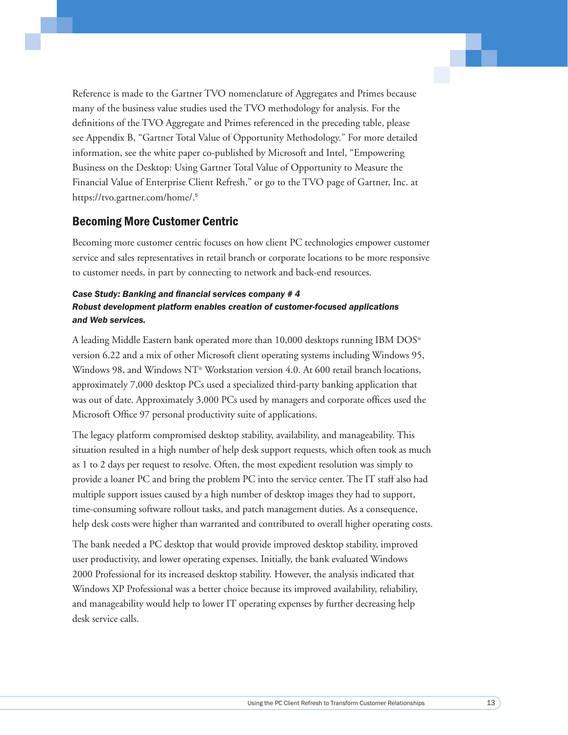Reference is made to the Gartner TVO nomenclature of Aggregates and Primes because many of the business value studies used the TVO methodology for analysis. For the definitions of the TVO Aggregate and Primes referenced in the preceding table, please see Appendix B, "Gartner Total Value of Opportunity Methodology." For more detailed information, see the white paper co-published by Microsoft and Intel, "Empowering Business on the Desktop: Using Gartner Total Value of Opportunity to Measure the Financial Value of Enterprise Client Refresh," or go to the TVO page of Gartner, Inc. at https://tvo.gartner.com/home/.<sup>5</sup>

#### Becoming More Customer Centric

Becoming more customer centric focuses on how client PC technologies empower customer service and sales representatives in retail branch or corporate locations to be more responsive to customer needs, in part by connecting to network and back-end resources.

#### Case Study: Banking and financial services company # 4 *Robust development platform enables creation of customer-focused applications and Web services.*

A leading Middle Eastern bank operated more than 10,000 desktops running IBM DOS® version 6.22 and a mix of other Microsoft client operating systems including Windows 95, Windows 98, and Windows NT® Workstation version 4.0. At 600 retail branch locations, approximately 7,000 desktop PCs used a specialized third-party banking application that was out of date. Approximately 3,000 PCs used by managers and corporate offices used the Microsoft Office 97 personal productivity suite of applications.

The legacy platform compromised desktop stability, availability, and manageability. This situation resulted in a high number of help desk support requests, which often took as much as 1 to 2 days per request to resolve. Often, the most expedient resolution was simply to provide a loaner PC and bring the problem PC into the service center. The IT staff also had multiple support issues caused by a high number of desktop images they had to support, time-consuming software rollout tasks, and patch management duties. As a consequence, help desk costs were higher than warranted and contributed to overall higher operating costs.

The bank needed a PC desktop that would provide improved desktop stability, improved user productivity, and lower operating expenses. Initially, the bank evaluated Windows 2000 Professional for its increased desktop stability. However, the analysis indicated that Windows XP Professional was a better choice because its improved availability, reliability, and manageability would help to lower IT operating expenses by further decreasing help desk service calls.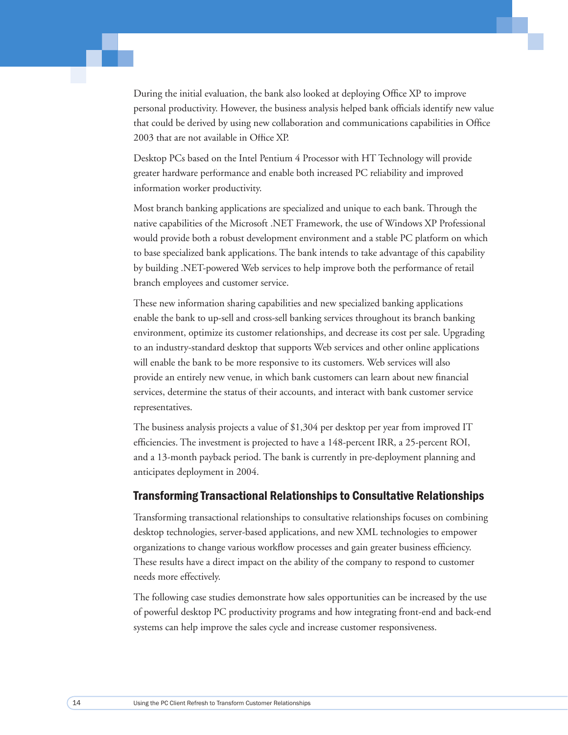During the initial evaluation, the bank also looked at deploying Office XP to improve personal productivity. However, the business analysis helped bank officials identify new value that could be derived by using new collaboration and communications capabilities in Office 2003 that are not available in Office XP.

Desktop PCs based on the Intel Pentium 4 Processor with HT Technology will provide greater hardware performance and enable both increased PC reliability and improved information worker productivity.

Most branch banking applications are specialized and unique to each bank. Through the native capabilities of the Microsoft .NET Framework, the use of Windows XP Professional would provide both a robust development environment and a stable PC platform on which to base specialized bank applications. The bank intends to take advantage of this capability by building .NET-powered Web services to help improve both the performance of retail branch employees and customer service.

These new information sharing capabilities and new specialized banking applications enable the bank to up-sell and cross-sell banking services throughout its branch banking environment, optimize its customer relationships, and decrease its cost per sale. Upgrading to an industry-standard desktop that supports Web services and other online applications will enable the bank to be more responsive to its customers. Web services will also provide an entirely new venue, in which bank customers can learn about new financial services, determine the status of their accounts, and interact with bank customer service representatives.

The business analysis projects a value of \$1,304 per desktop per year from improved IT efficiencies. The investment is projected to have a 148-percent IRR, a 25-percent ROI, and a 13-month payback period. The bank is currently in pre-deployment planning and anticipates deployment in 2004.

#### Transforming Transactional Relationships to Consultative Relationships

Transforming transactional relationships to consultative relationships focuses on combining desktop technologies, server-based applications, and new XML technologies to empower organizations to change various workflow processes and gain greater business efficiency. These results have a direct impact on the ability of the company to respond to customer needs more effectively.

The following case studies demonstrate how sales opportunities can be increased by the use of powerful desktop PC productivity programs and how integrating front-end and back-end systems can help improve the sales cycle and increase customer responsiveness.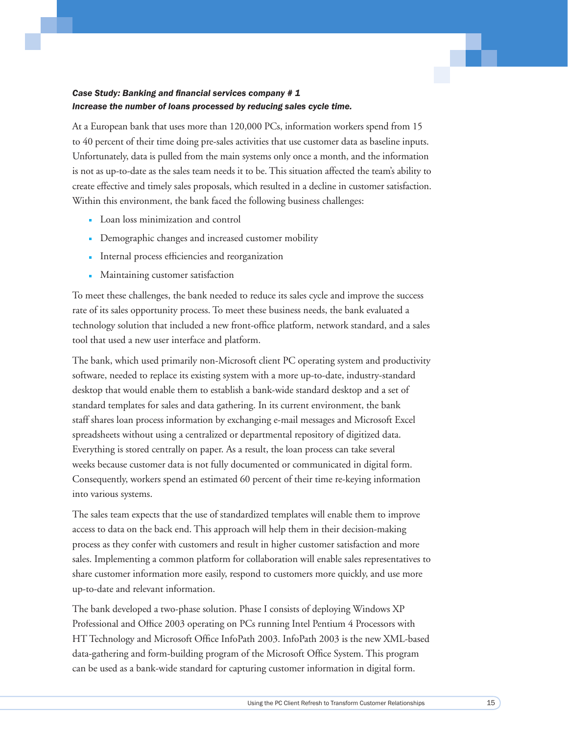#### Case Study: Banking and financial services company # 1 *Increase the number of loans processed by reducing sales cycle time.*

At a European bank that uses more than 120,000 PCs, information workers spend from 15 to 40 percent of their time doing pre-sales activities that use customer data as baseline inputs. Unfortunately, data is pulled from the main systems only once a month, and the information is not as up-to-date as the sales team needs it to be. This situation affected the team's ability to create effective and timely sales proposals, which resulted in a decline in customer satisfaction. Within this environment, the bank faced the following business challenges:

- Loan loss minimization and control
- Demographic changes and increased customer mobility
- Internal process efficiencies and reorganization
- **Maintaining customer satisfaction**

To meet these challenges, the bank needed to reduce its sales cycle and improve the success rate of its sales opportunity process. To meet these business needs, the bank evaluated a technology solution that included a new front-office platform, network standard, and a sales tool that used a new user interface and platform.

The bank, which used primarily non-Microsoft client PC operating system and productivity software, needed to replace its existing system with a more up-to-date, industry-standard desktop that would enable them to establish a bank-wide standard desktop and a set of standard templates for sales and data gathering. In its current environment, the bank staff shares loan process information by exchanging e-mail messages and Microsoft Excel spreadsheets without using a centralized or departmental repository of digitized data. Everything is stored centrally on paper. As a result, the loan process can take several weeks because customer data is not fully documented or communicated in digital form. Consequently, workers spend an estimated 60 percent of their time re-keying information into various systems.

The sales team expects that the use of standardized templates will enable them to improve access to data on the back end. This approach will help them in their decision-making process as they confer with customers and result in higher customer satisfaction and more sales. Implementing a common platform for collaboration will enable sales representatives to share customer information more easily, respond to customers more quickly, and use more up-to-date and relevant information.

The bank developed a two-phase solution. Phase I consists of deploying Windows XP Professional and Office 2003 operating on PCs running Intel Pentium 4 Processors with HT Technology and Microsoft Office InfoPath 2003. InfoPath 2003 is the new XML-based data-gathering and form-building program of the Microsoft Office System. This program can be used as a bank-wide standard for capturing customer information in digital form.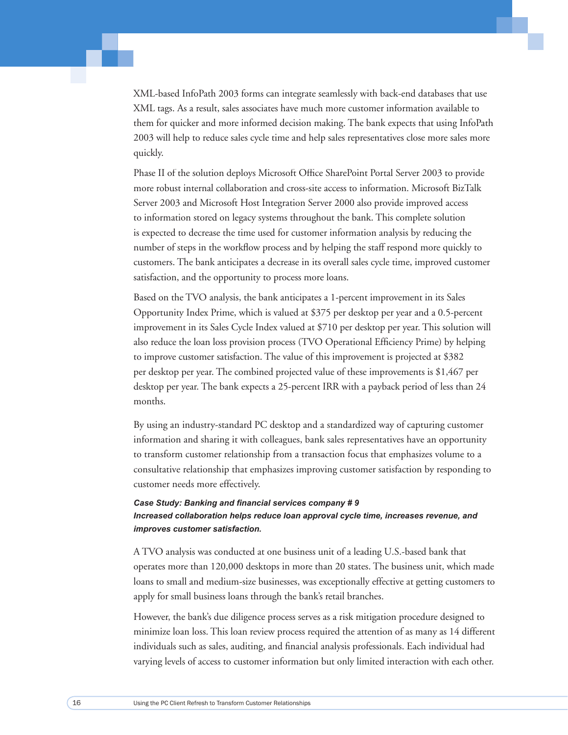XML-based InfoPath 2003 forms can integrate seamlessly with back-end databases that use XML tags. As a result, sales associates have much more customer information available to them for quicker and more informed decision making. The bank expects that using InfoPath 2003 will help to reduce sales cycle time and help sales representatives close more sales more quickly.

Phase II of the solution deploys Microsoft Office SharePoint Portal Server 2003 to provide more robust internal collaboration and cross-site access to information. Microsoft BizTalk Server 2003 and Microsoft Host Integration Server 2000 also provide improved access to information stored on legacy systems throughout the bank. This complete solution is expected to decrease the time used for customer information analysis by reducing the number of steps in the workflow process and by helping the staff respond more quickly to customers. The bank anticipates a decrease in its overall sales cycle time, improved customer satisfaction, and the opportunity to process more loans.

Based on the TVO analysis, the bank anticipates a 1-percent improvement in its Sales Opportunity Index Prime, which is valued at \$375 per desktop per year and a 0.5-percent improvement in its Sales Cycle Index valued at \$710 per desktop per year. This solution will also reduce the loan loss provision process (TVO Operational Efficiency Prime) by helping to improve customer satisfaction. The value of this improvement is projected at \$382 per desktop per year. The combined projected value of these improvements is \$1,467 per desktop per year. The bank expects a 25-percent IRR with a payback period of less than 24 months.

By using an industry-standard PC desktop and a standardized way of capturing customer information and sharing it with colleagues, bank sales representatives have an opportunity to transform customer relationship from a transaction focus that emphasizes volume to a consultative relationship that emphasizes improving customer satisfaction by responding to customer needs more effectively.

#### Case Study: Banking and financial services company # 9 *Increased collaboration helps reduce loan approval cycle time, increases revenue, and improves customer satisfaction.*

A TVO analysis was conducted at one business unit of a leading U.S.-based bank that operates more than 120,000 desktops in more than 20 states. The business unit, which made loans to small and medium-size businesses, was exceptionally effective at getting customers to apply for small business loans through the bank's retail branches.

However, the bank's due diligence process serves as a risk mitigation procedure designed to minimize loan loss. This loan review process required the attention of as many as 14 different individuals such as sales, auditing, and financial analysis professionals. Each individual had varying levels of access to customer information but only limited interaction with each other.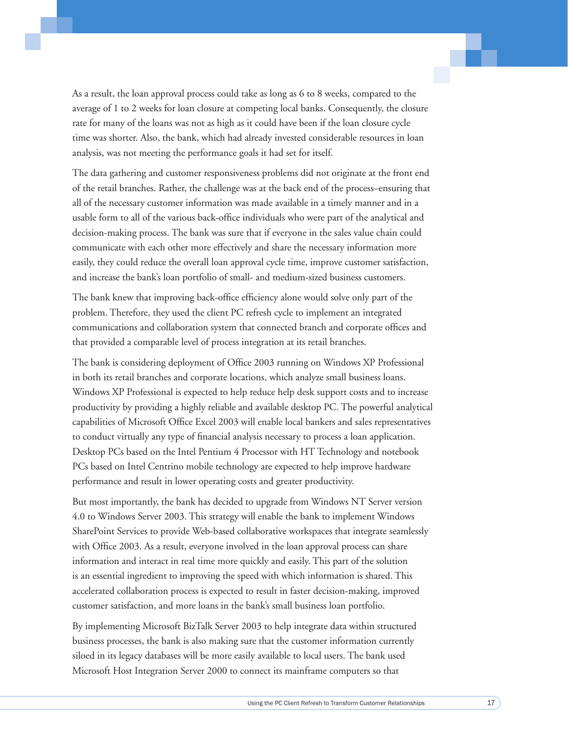As a result, the loan approval process could take as long as 6 to 8 weeks, compared to the average of 1 to 2 weeks for loan closure at competing local banks. Consequently, the closure rate for many of the loans was not as high as it could have been if the loan closure cycle time was shorter. Also, the bank, which had already invested considerable resources in loan analysis, was not meeting the performance goals it had set for itself.

The data gathering and customer responsiveness problems did not originate at the front end of the retail branches. Rather, the challenge was at the back end of the process–ensuring that all of the necessary customer information was made available in a timely manner and in a usable form to all of the various back-office individuals who were part of the analytical and decision-making process. The bank was sure that if everyone in the sales value chain could communicate with each other more effectively and share the necessary information more easily, they could reduce the overall loan approval cycle time, improve customer satisfaction, and increase the bank's loan portfolio of small- and medium-sized business customers.

The bank knew that improving back-office efficiency alone would solve only part of the problem. Therefore, they used the client PC refresh cycle to implement an integrated communications and collaboration system that connected branch and corporate offices and that provided a comparable level of process integration at its retail branches.

The bank is considering deployment of Office 2003 running on Windows XP Professional in both its retail branches and corporate locations, which analyze small business loans. Windows XP Professional is expected to help reduce help desk support costs and to increase productivity by providing a highly reliable and available desktop PC. The powerful analytical capabilities of Microsoft Office Excel 2003 will enable local bankers and sales representatives to conduct virtually any type of financial analysis necessary to process a loan application. Desktop PCs based on the Intel Pentium 4 Processor with HT Technology and notebook PCs based on Intel Centrino mobile technology are expected to help improve hardware performance and result in lower operating costs and greater productivity.

But most importantly, the bank has decided to upgrade from Windows NT Server version 4.0 to Windows Server 2003. This strategy will enable the bank to implement Windows SharePoint Services to provide Web-based collaborative workspaces that integrate seamlessly with Office 2003. As a result, everyone involved in the loan approval process can share information and interact in real time more quickly and easily. This part of the solution is an essential ingredient to improving the speed with which information is shared. This accelerated collaboration process is expected to result in faster decision-making, improved customer satisfaction, and more loans in the bank's small business loan portfolio.

By implementing Microsoft BizTalk Server 2003 to help integrate data within structured business processes, the bank is also making sure that the customer information currently siloed in its legacy databases will be more easily available to local users. The bank used Microsoft Host Integration Server 2000 to connect its mainframe computers so that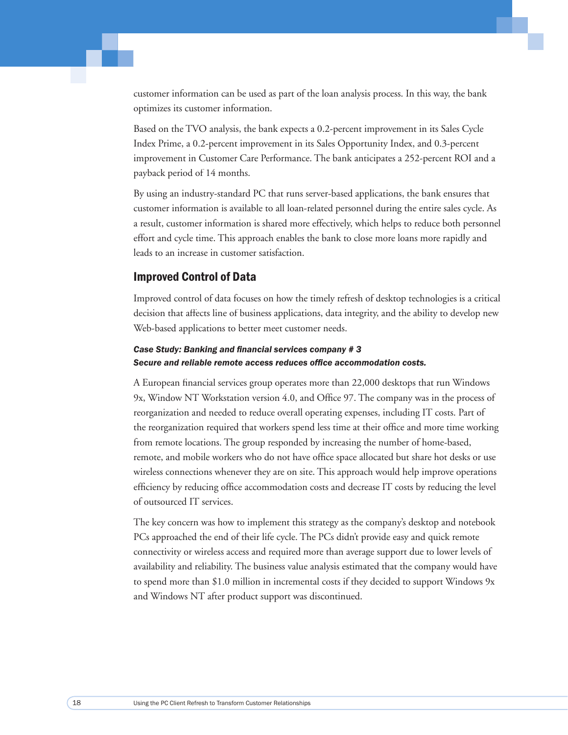customer information can be used as part of the loan analysis process. In this way, the bank optimizes its customer information.

Based on the TVO analysis, the bank expects a 0.2-percent improvement in its Sales Cycle Index Prime, a 0.2-percent improvement in its Sales Opportunity Index, and 0.3-percent improvement in Customer Care Performance. The bank anticipates a 252-percent ROI and a payback period of 14 months.

By using an industry-standard PC that runs server-based applications, the bank ensures that customer information is available to all loan-related personnel during the entire sales cycle. As a result, customer information is shared more effectively, which helps to reduce both personnel effort and cycle time. This approach enables the bank to close more loans more rapidly and leads to an increase in customer satisfaction.

#### Improved Control of Data

Improved control of data focuses on how the timely refresh of desktop technologies is a critical decision that affects line of business applications, data integrity, and the ability to develop new Web-based applications to better meet customer needs.

#### *Case Study: Banking and financial services company # 3* Secure and reliable remote access reduces office accommodation costs.

A European financial services group operates more than 22,000 desktops that run Windows 9x, Window NT Workstation version 4.0, and Office 97. The company was in the process of reorganization and needed to reduce overall operating expenses, including IT costs. Part of the reorganization required that workers spend less time at their office and more time working from remote locations. The group responded by increasing the number of home-based, remote, and mobile workers who do not have office space allocated but share hot desks or use wireless connections whenever they are on site. This approach would help improve operations efficiency by reducing office accommodation costs and decrease IT costs by reducing the level of outsourced IT services.

The key concern was how to implement this strategy as the company's desktop and notebook PCs approached the end of their life cycle. The PCs didn't provide easy and quick remote connectivity or wireless access and required more than average support due to lower levels of availability and reliability. The business value analysis estimated that the company would have to spend more than \$1.0 million in incremental costs if they decided to support Windows 9x and Windows NT after product support was discontinued.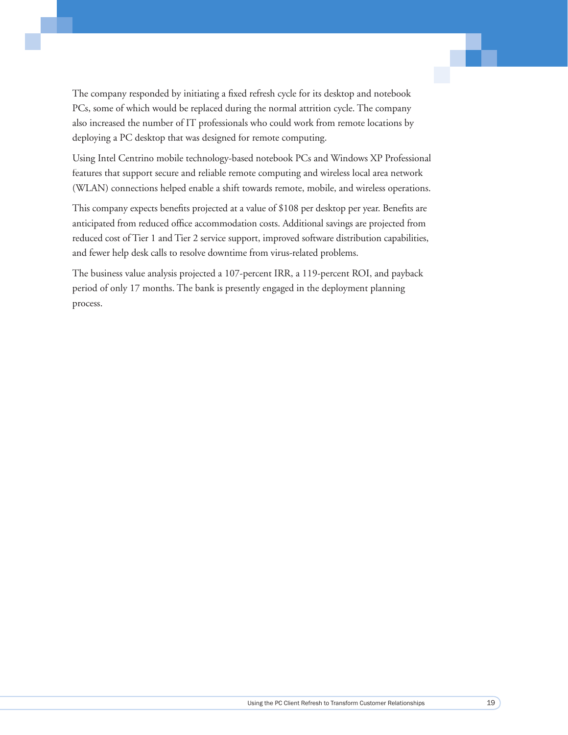The company responded by initiating a fixed refresh cycle for its desktop and notebook PCs, some of which would be replaced during the normal attrition cycle. The company also increased the number of IT professionals who could work from remote locations by deploying a PC desktop that was designed for remote computing.

Using Intel Centrino mobile technology-based notebook PCs and Windows XP Professional features that support secure and reliable remote computing and wireless local area network (WLAN) connections helped enable a shift towards remote, mobile, and wireless operations.

This company expects benefits projected at a value of \$108 per desktop per year. Benefits are anticipated from reduced office accommodation costs. Additional savings are projected from reduced cost of Tier 1 and Tier 2 service support, improved software distribution capabilities, and fewer help desk calls to resolve downtime from virus-related problems.

The business value analysis projected a 107-percent IRR, a 119-percent ROI, and payback period of only 17 months. The bank is presently engaged in the deployment planning process.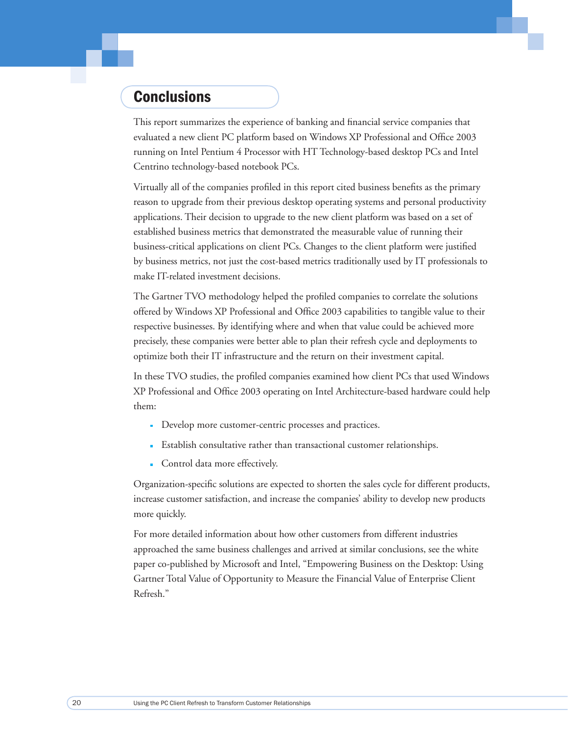### **Conclusions**

This report summarizes the experience of banking and financial service companies that evaluated a new client PC platform based on Windows XP Professional and Office 2003 running on Intel Pentium 4 Processor with HT Technology-based desktop PCs and Intel Centrino technology-based notebook PCs.

Virtually all of the companies profiled in this report cited business benefits as the primary reason to upgrade from their previous desktop operating systems and personal productivity applications. Their decision to upgrade to the new client platform was based on a set of established business metrics that demonstrated the measurable value of running their business-critical applications on client PCs. Changes to the client platform were justified by business metrics, not just the cost-based metrics traditionally used by IT professionals to make IT-related investment decisions.

The Gartner TVO methodology helped the profiled companies to correlate the solutions offered by Windows XP Professional and Office 2003 capabilities to tangible value to their respective businesses. By identifying where and when that value could be achieved more precisely, these companies were better able to plan their refresh cycle and deployments to optimize both their IT infrastructure and the return on their investment capital.

In these TVO studies, the profiled companies examined how client PCs that used Windows XP Professional and Office 2003 operating on Intel Architecture-based hardware could help them:

- Develop more customer-centric processes and practices.
- Establish consultative rather than transactional customer relationships.
- Control data more effectively.

Organization-specific solutions are expected to shorten the sales cycle for different products, increase customer satisfaction, and increase the companies' ability to develop new products more quickly.

For more detailed information about how other customers from different industries approached the same business challenges and arrived at similar conclusions, see the white paper co-published by Microsoft and Intel, "Empowering Business on the Desktop: Using Gartner Total Value of Opportunity to Measure the Financial Value of Enterprise Client Refresh."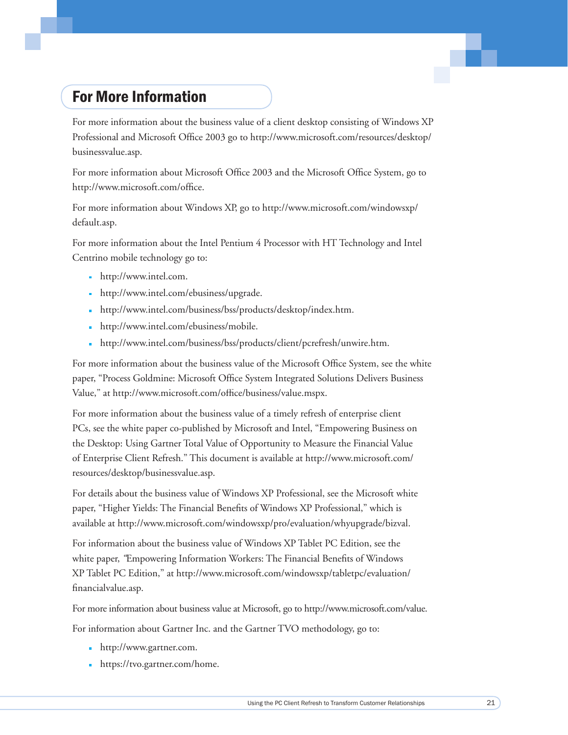## For More Information

For more information about the business value of a client desktop consisting of Windows XP Professional and Microsoft Office 2003 go to http://www.microsoft.com/resources/desktop/ businessvalue.asp.

For more information about Microsoft Office 2003 and the Microsoft Office System, go to http://www.microsoft.com/office.

For more information about Windows XP, go to http://www.microsoft.com/windowsxp/ default.asp.

For more information about the Intel Pentium 4 Processor with HT Technology and Intel Centrino mobile technology go to:

- http://www.intel.com.
- http://www.intel.com/ebusiness/upgrade.
- http://www.intel.com/business/bss/products/desktop/index.htm.
- http://www.intel.com/ebusiness/mobile.
- http://www.intel.com/business/bss/products/client/pcrefresh/unwire.htm.

For more information about the business value of the Microsoft Office System, see the white paper, "Process Goldmine: Microsoft Office System Integrated Solutions Delivers Business Value," at http://www.microsoft.com/office/business/value.mspx.

For more information about the business value of a timely refresh of enterprise client PCs, see the white paper co-published by Microsoft and Intel, "Empowering Business on the Desktop: Using Gartner Total Value of Opportunity to Measure the Financial Value of Enterprise Client Refresh." This document is available at http://www.microsoft.com/ resources/desktop/businessvalue.asp.

For details about the business value of Windows XP Professional, see the Microsoft white paper, "Higher Yields: The Financial Benefits of Windows XP Professional," which is available at http://www.microsoft.com/windowsxp/pro/evaluation/whyupgrade/bizval.

For information about the business value of Windows XP Tablet PC Edition, see the white paper, "Empowering Information Workers: The Financial Benefits of Windows XP Tablet PC Edition," at http://www.microsoft.com/windowsxp/tabletpc/evaluation/ financialvalue.asp.

For more information about business value at Microsoft, go to http://www.microsoft.com/value.

For information about Gartner Inc. and the Gartner TVO methodology, go to:

- http://www.gartner.com.
- https://tvo.gartner.com/home.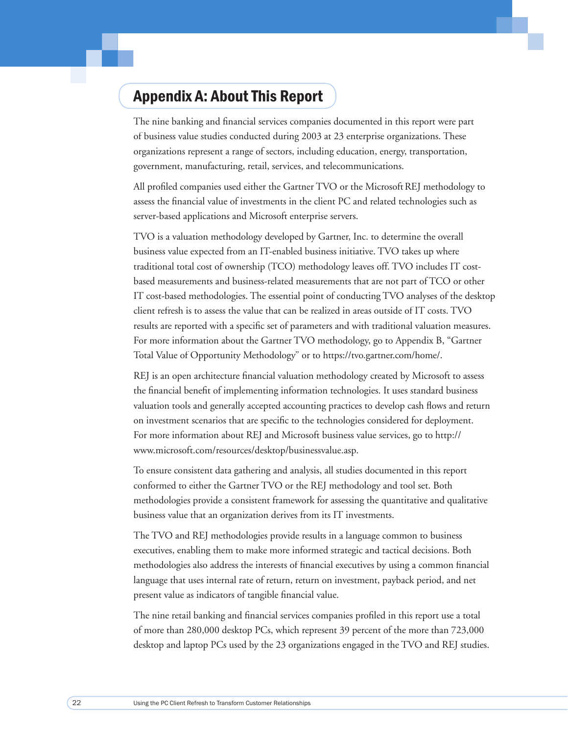### Appendix A: About This Report

The nine banking and financial services companies documented in this report were part of business value studies conducted during 2003 at 23 enterprise organizations. These organizations represent a range of sectors, including education, energy, transportation, government, manufacturing, retail, services, and telecommunications.

All profiled companies used either the Gartner TVO or the Microsoft REJ methodology to assess the financial value of investments in the client PC and related technologies such as server-based applications and Microsoft enterprise servers.

TVO is a valuation methodology developed by Gartner, Inc. to determine the overall business value expected from an IT-enabled business initiative. TVO takes up where traditional total cost of ownership (TCO) methodology leaves off. TVO includes IT costbased measurements and business-related measurements that are not part of TCO or other IT cost-based methodologies. The essential point of conducting TVO analyses of the desktop client refresh is to assess the value that can be realized in areas outside of IT costs. TVO results are reported with a specific set of parameters and with traditional valuation measures. For more information about the Gartner TVO methodology, go to Appendix B, "Gartner Total Value of Opportunity Methodology" or to https://tvo.gartner.com/home/.

REJ is an open architecture financial valuation methodology created by Microsoft to assess the financial benefit of implementing information technologies. It uses standard business valuation tools and generally accepted accounting practices to develop cash flows and return on investment scenarios that are specific to the technologies considered for deployment. For more information about REJ and Microsoft business value services, go to http:// www.microsoft.com/resources/desktop/businessvalue.asp.

To ensure consistent data gathering and analysis, all studies documented in this report conformed to either the Gartner TVO or the REJ methodology and tool set. Both methodologies provide a consistent framework for assessing the quantitative and qualitative business value that an organization derives from its IT investments.

The TVO and REJ methodologies provide results in a language common to business executives, enabling them to make more informed strategic and tactical decisions. Both methodologies also address the interests of financial executives by using a common financial language that uses internal rate of return, return on investment, payback period, and net present value as indicators of tangible financial value.

The nine retail banking and financial services companies profiled in this report use a total of more than 280,000 desktop PCs, which represent 39 percent of the more than 723,000 desktop and laptop PCs used by the 23 organizations engaged in the TVO and REJ studies.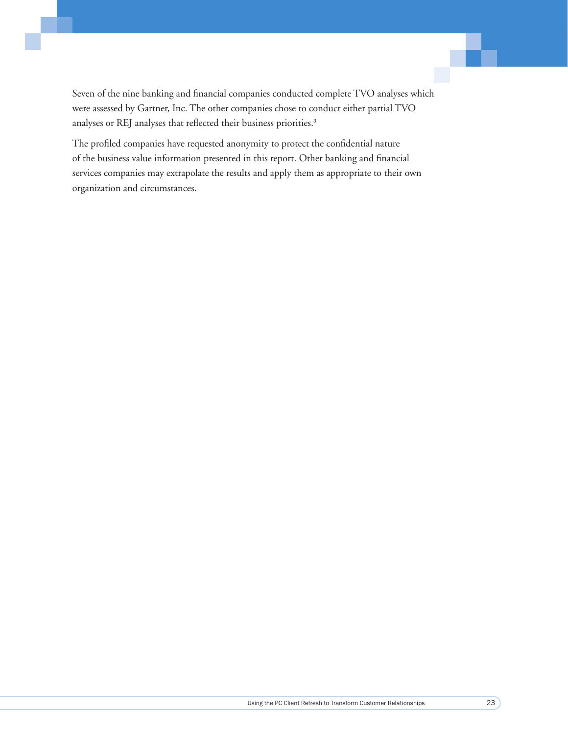Seven of the nine banking and financial companies conducted complete TVO analyses which were assessed by Gartner, Inc. The other companies chose to conduct either partial TVO analyses or REJ analyses that reflected their business priorities.<sup>3</sup>

The profiled companies have requested anonymity to protect the confidential nature of the business value information presented in this report. Other banking and financial services companies may extrapolate the results and apply them as appropriate to their own organization and circumstances.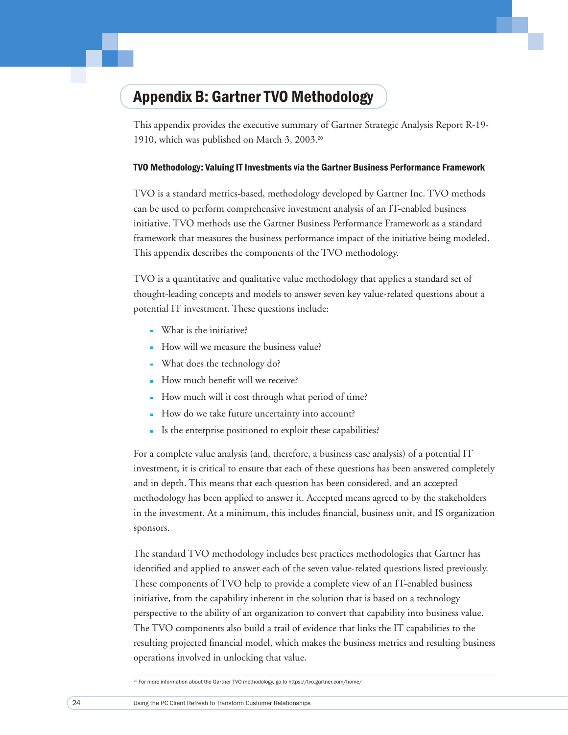### Appendix B: Gartner TVO Methodology

This appendix provides the executive summary of Gartner Strategic Analysis Report R-19- 1910, which was published on March 3, 2003.<sup>20</sup>

#### TVO Methodology: Valuing IT Investments via the Gartner Business Performance Framework

TVO is a standard metrics-based, methodology developed by Gartner Inc. TVO methods can be used to perform comprehensive investment analysis of an IT-enabled business initiative. TVO methods use the Gartner Business Performance Framework as a standard framework that measures the business performance impact of the initiative being modeled. This appendix describes the components of the TVO methodology.

TVO is a quantitative and qualitative value methodology that applies a standard set of thought-leading concepts and models to answer seven key value-related questions about a potential IT investment. These questions include:

- What is the initiative?
- How will we measure the business value?
- What does the technology do?
- How much benefit will we receive?
- How much will it cost through what period of time?
- How do we take future uncertainty into account?
- Is the enterprise positioned to exploit these capabilities?

For a complete value analysis (and, therefore, a business case analysis) of a potential IT investment, it is critical to ensure that each of these questions has been answered completely and in depth. This means that each question has been considered, and an accepted methodology has been applied to answer it. Accepted means agreed to by the stakeholders in the investment. At a minimum, this includes financial, business unit, and IS organization sponsors.

The standard TVO methodology includes best practices methodologies that Gartner has identified and applied to answer each of the seven value-related questions listed previously. These components of TVO help to provide a complete view of an IT-enabled business initiative, from the capability inherent in the solution that is based on a technology perspective to the ability of an organization to convert that capability into business value. The TVO components also build a trail of evidence that links the IT capabilities to the resulting projected financial model, which makes the business metrics and resulting business operations involved in unlocking that value.

<sup>&</sup>lt;sup>20</sup> For more information about the Gartner TVO methodology, go to https://tvo.gartner.com/home/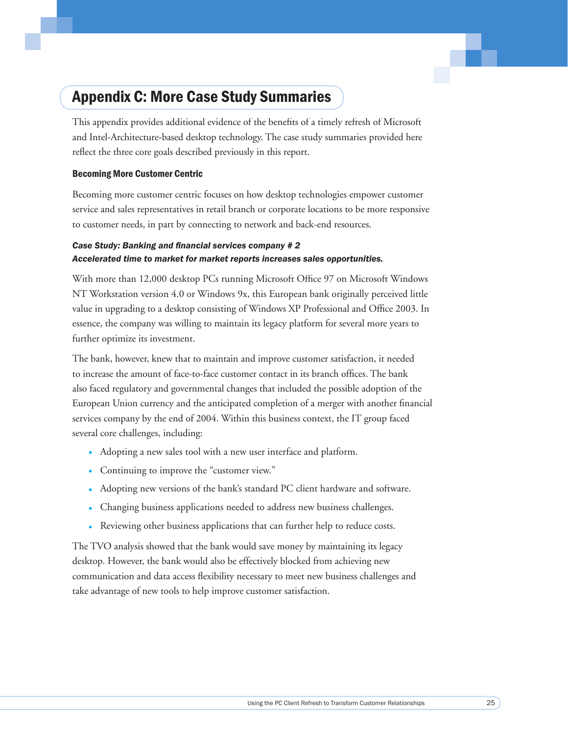### Appendix C: More Case Study Summaries

This appendix provides additional evidence of the benefits of a timely refresh of Microsoft and Intel-Architecture-based desktop technology. The case study summaries provided here reflect the three core goals described previously in this report.

#### Becoming More Customer Centric

Becoming more customer centric focuses on how desktop technologies empower customer service and sales representatives in retail branch or corporate locations to be more responsive to customer needs, in part by connecting to network and back-end resources.

#### Case Study: Banking and financial services company # 2 *Accelerated time to market for market reports increases sales opportunities.*

With more than 12,000 desktop PCs running Microsoft Office 97 on Microsoft Windows NT Workstation version 4.0 or Windows 9x, this European bank originally perceived little value in upgrading to a desktop consisting of Windows XP Professional and Office 2003. In essence, the company was willing to maintain its legacy platform for several more years to further optimize its investment.

The bank, however, knew that to maintain and improve customer satisfaction, it needed to increase the amount of face-to-face customer contact in its branch offices. The bank also faced regulatory and governmental changes that included the possible adoption of the European Union currency and the anticipated completion of a merger with another financial services company by the end of 2004. Within this business context, the IT group faced several core challenges, including:

- Adopting a new sales tool with a new user interface and platform.
- Continuing to improve the "customer view."
- Adopting new versions of the bank's standard PC client hardware and software.
- Changing business applications needed to address new business challenges.
- Reviewing other business applications that can further help to reduce costs.

The TVO analysis showed that the bank would save money by maintaining its legacy desktop. However, the bank would also be effectively blocked from achieving new communication and data access flexibility necessary to meet new business challenges and take advantage of new tools to help improve customer satisfaction.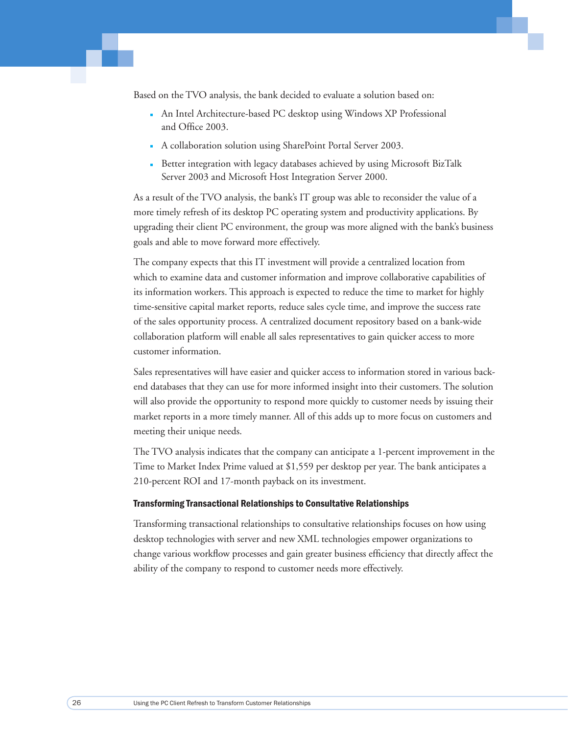Based on the TVO analysis, the bank decided to evaluate a solution based on:

- An Intel Architecture-based PC desktop using Windows XP Professional and Office 2003.
- A collaboration solution using SharePoint Portal Server 2003.
- Better integration with legacy databases achieved by using Microsoft BizTalk Server 2003 and Microsoft Host Integration Server 2000.

As a result of the TVO analysis, the bank's IT group was able to reconsider the value of a more timely refresh of its desktop PC operating system and productivity applications. By upgrading their client PC environment, the group was more aligned with the bank's business goals and able to move forward more effectively.

The company expects that this IT investment will provide a centralized location from which to examine data and customer information and improve collaborative capabilities of its information workers. This approach is expected to reduce the time to market for highly time-sensitive capital market reports, reduce sales cycle time, and improve the success rate of the sales opportunity process. A centralized document repository based on a bank-wide collaboration platform will enable all sales representatives to gain quicker access to more customer information.

Sales representatives will have easier and quicker access to information stored in various backend databases that they can use for more informed insight into their customers. The solution will also provide the opportunity to respond more quickly to customer needs by issuing their market reports in a more timely manner. All of this adds up to more focus on customers and meeting their unique needs.

The TVO analysis indicates that the company can anticipate a 1-percent improvement in the Time to Market Index Prime valued at \$1,559 per desktop per year. The bank anticipates a 210-percent ROI and 17-month payback on its investment.

#### Transforming Transactional Relationships to Consultative Relationships

Transforming transactional relationships to consultative relationships focuses on how using desktop technologies with server and new XML technologies empower organizations to change various workflow processes and gain greater business efficiency that directly affect the ability of the company to respond to customer needs more effectively.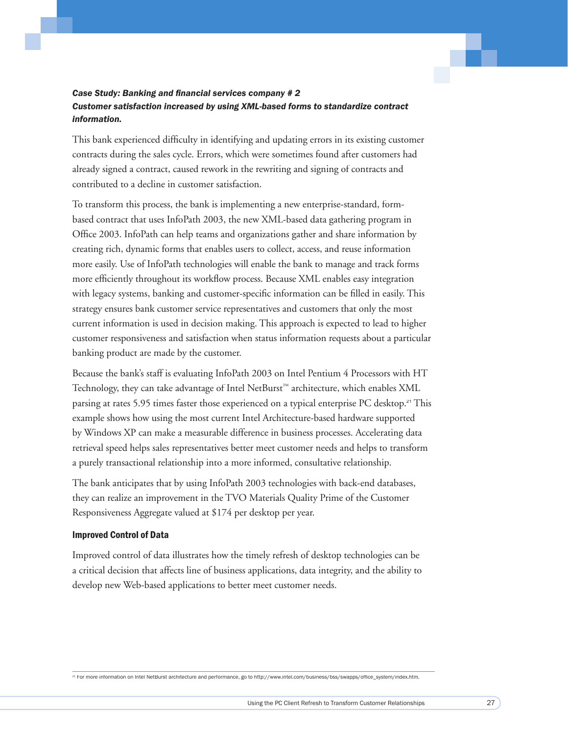#### Case Study: Banking and financial services company # 2 *Customer satisfaction increased by using XML-based forms to standardize contract information.*

This bank experienced difficulty in identifying and updating errors in its existing customer contracts during the sales cycle. Errors, which were sometimes found after customers had already signed a contract, caused rework in the rewriting and signing of contracts and contributed to a decline in customer satisfaction.

To transform this process, the bank is implementing a new enterprise-standard, formbased contract that uses InfoPath 2003, the new XML-based data gathering program in Office 2003. InfoPath can help teams and organizations gather and share information by creating rich, dynamic forms that enables users to collect, access, and reuse information more easily. Use of InfoPath technologies will enable the bank to manage and track forms more efficiently throughout its workflow process. Because XML enables easy integration with legacy systems, banking and customer-specific information can be filled in easily. This strategy ensures bank customer service representatives and customers that only the most current information is used in decision making. This approach is expected to lead to higher customer responsiveness and satisfaction when status information requests about a particular banking product are made by the customer.

Because the bank's staff is evaluating InfoPath 2003 on Intel Pentium 4 Processors with HT Technology, they can take advantage of Intel NetBurst™ architecture, which enables XML parsing at rates 5.95 times faster those experienced on a typical enterprise PC desktop.<sup>21</sup> This example shows how using the most current Intel Architecture-based hardware supported by Windows XP can make a measurable difference in business processes. Accelerating data retrieval speed helps sales representatives better meet customer needs and helps to transform a purely transactional relationship into a more informed, consultative relationship.

The bank anticipates that by using InfoPath 2003 technologies with back-end databases, they can realize an improvement in the TVO Materials Quality Prime of the Customer Responsiveness Aggregate valued at \$174 per desktop per year.

#### Improved Control of Data

Improved control of data illustrates how the timely refresh of desktop technologies can be a critical decision that affects line of business applications, data integrity, and the ability to develop new Web-based applications to better meet customer needs.

<sup>21</sup> For more information on Intel NetBurst architecture and performance, go to http://www.intel.com/business/bss/swapps/office\_system/index.htm.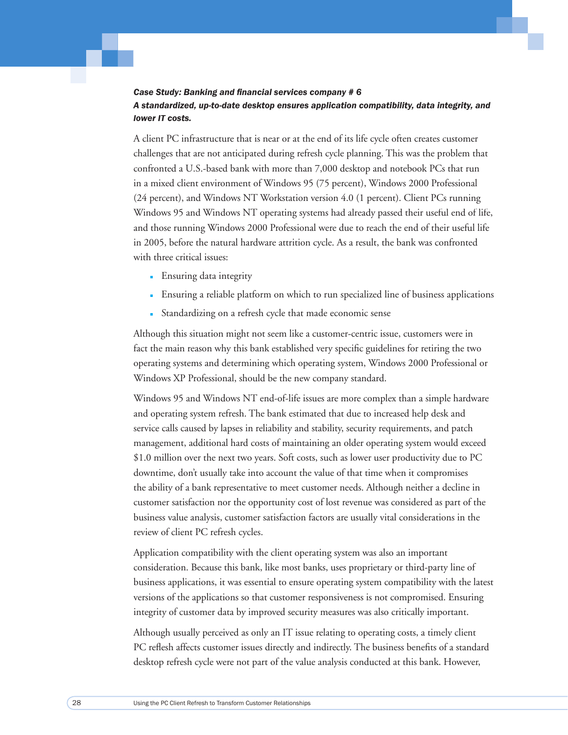#### Case Study: Banking and financial services company # 6 *A standardized, up-to-date desktop ensures application compatibility, data integrity, and lower IT costs.*

A client PC infrastructure that is near or at the end of its life cycle often creates customer challenges that are not anticipated during refresh cycle planning. This was the problem that confronted a U.S.-based bank with more than 7,000 desktop and notebook PCs that run in a mixed client environment of Windows 95 (75 percent), Windows 2000 Professional (24 percent), and Windows NT Workstation version 4.0 (1 percent). Client PCs running Windows 95 and Windows NT operating systems had already passed their useful end of life, and those running Windows 2000 Professional were due to reach the end of their useful life in 2005, before the natural hardware attrition cycle. As a result, the bank was confronted with three critical issues:

- **Ensuring data integrity**
- Ensuring a reliable platform on which to run specialized line of business applications
- Standardizing on a refresh cycle that made economic sense

Although this situation might not seem like a customer-centric issue, customers were in fact the main reason why this bank established very specific guidelines for retiring the two operating systems and determining which operating system, Windows 2000 Professional or Windows XP Professional, should be the new company standard.

Windows 95 and Windows NT end-of-life issues are more complex than a simple hardware and operating system refresh. The bank estimated that due to increased help desk and service calls caused by lapses in reliability and stability, security requirements, and patch management, additional hard costs of maintaining an older operating system would exceed \$1.0 million over the next two years. Soft costs, such as lower user productivity due to PC downtime, don't usually take into account the value of that time when it compromises the ability of a bank representative to meet customer needs. Although neither a decline in customer satisfaction nor the opportunity cost of lost revenue was considered as part of the business value analysis, customer satisfaction factors are usually vital considerations in the review of client PC refresh cycles.

Application compatibility with the client operating system was also an important consideration. Because this bank, like most banks, uses proprietary or third-party line of business applications, it was essential to ensure operating system compatibility with the latest versions of the applications so that customer responsiveness is not compromised. Ensuring integrity of customer data by improved security measures was also critically important.

Although usually perceived as only an IT issue relating to operating costs, a timely client PC reflesh affects customer issues directly and indirectly. The business benefits of a standard desktop refresh cycle were not part of the value analysis conducted at this bank. However,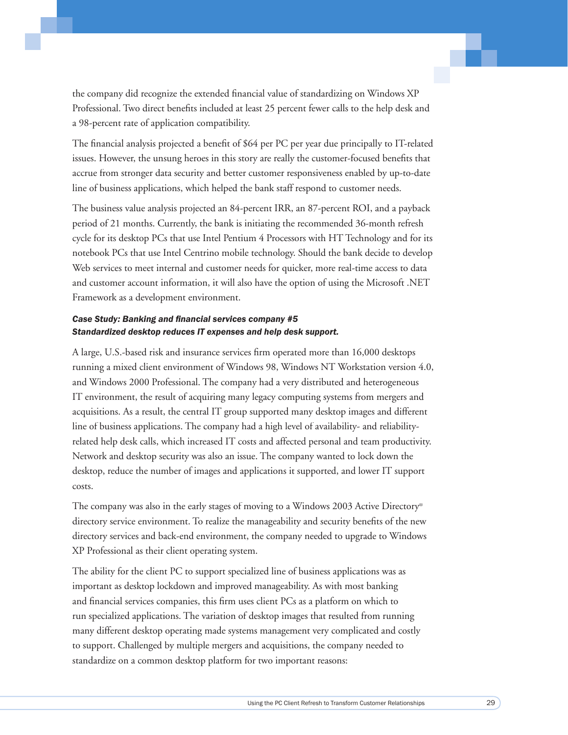the company did recognize the extended financial value of standardizing on Windows XP Professional. Two direct benefits included at least 25 percent fewer calls to the help desk and a 98-percent rate of application compatibility.

The financial analysis projected a benefit of \$64 per PC per year due principally to IT-related issues. However, the unsung heroes in this story are really the customer-focused benefits that accrue from stronger data security and better customer responsiveness enabled by up-to-date line of business applications, which helped the bank staff respond to customer needs.

The business value analysis projected an 84-percent IRR, an 87-percent ROI, and a payback period of 21 months. Currently, the bank is initiating the recommended 36-month refresh cycle for its desktop PCs that use Intel Pentium 4 Processors with HT Technology and for its notebook PCs that use Intel Centrino mobile technology. Should the bank decide to develop Web services to meet internal and customer needs for quicker, more real-time access to data and customer account information, it will also have the option of using the Microsoft .NET Framework as a development environment.

#### Case Study: Banking and financial services company #5 *Standardized desktop reduces IT expenses and help desk support.*

A large, U.S.-based risk and insurance services firm operated more than 16,000 desktops running a mixed client environment of Windows 98, Windows NT Workstation version 4.0, and Windows 2000 Professional. The company had a very distributed and heterogeneous IT environment, the result of acquiring many legacy computing systems from mergers and acquisitions. As a result, the central IT group supported many desktop images and different line of business applications. The company had a high level of availability- and reliabilityrelated help desk calls, which increased IT costs and affected personal and team productivity. Network and desktop security was also an issue. The company wanted to lock down the desktop, reduce the number of images and applications it supported, and lower IT support costs.

The company was also in the early stages of moving to a Windows 2003 Active Directory® directory service environment. To realize the manageability and security benefits of the new directory services and back-end environment, the company needed to upgrade to Windows XP Professional as their client operating system.

The ability for the client PC to support specialized line of business applications was as important as desktop lockdown and improved manageability. As with most banking and financial services companies, this firm uses client PCs as a platform on which to run specialized applications. The variation of desktop images that resulted from running many different desktop operating made systems management very complicated and costly to support. Challenged by multiple mergers and acquisitions, the company needed to standardize on a common desktop platform for two important reasons: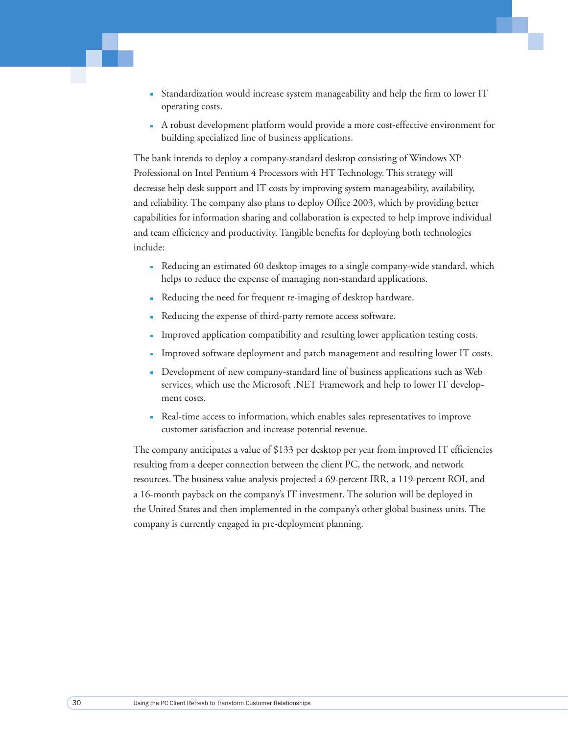- Standardization would increase system manageability and help the firm to lower  $IT$ operating costs.
- A robust development platform would provide a more cost-effective environment for building specialized line of business applications.

The bank intends to deploy a company-standard desktop consisting of Windows XP Professional on Intel Pentium 4 Processors with HT Technology. This strategy will decrease help desk support and IT costs by improving system manageability, availability, and reliability. The company also plans to deploy Office 2003, which by providing better capabilities for information sharing and collaboration is expected to help improve individual and team efficiency and productivity. Tangible benefits for deploying both technologies include:

- Reducing an estimated 60 desktop images to a single company-wide standard, which helps to reduce the expense of managing non-standard applications.
- Reducing the need for frequent re-imaging of desktop hardware.
- Reducing the expense of third-party remote access software.
- Improved application compatibility and resulting lower application testing costs.
- Improved software deployment and patch management and resulting lower IT costs.
- Development of new company-standard line of business applications such as Web services, which use the Microsoft .NET Framework and help to lower IT development costs.
- Real-time access to information, which enables sales representatives to improve customer satisfaction and increase potential revenue.

The company anticipates a value of \$133 per desktop per year from improved IT efficiencies resulting from a deeper connection between the client PC, the network, and network resources. The business value analysis projected a 69-percent IRR, a 119-percent ROI, and a 16-month payback on the company's IT investment. The solution will be deployed in the United States and then implemented in the company's other global business units. The company is currently engaged in pre-deployment planning.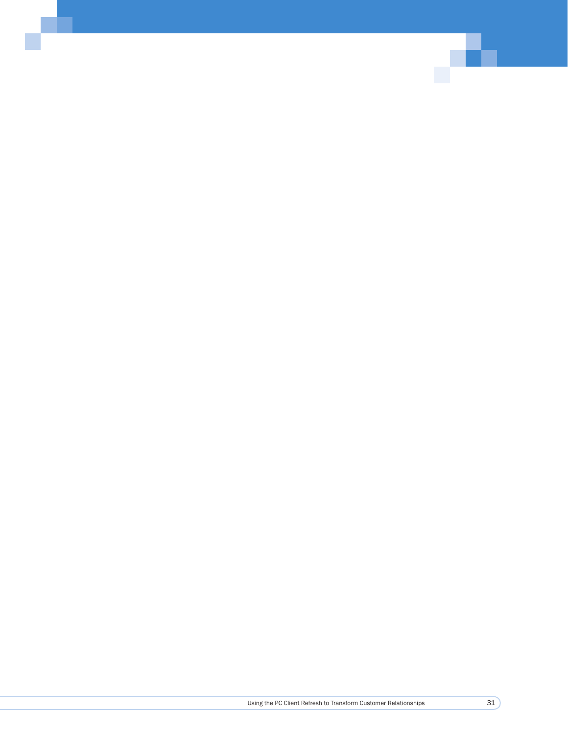an sa T